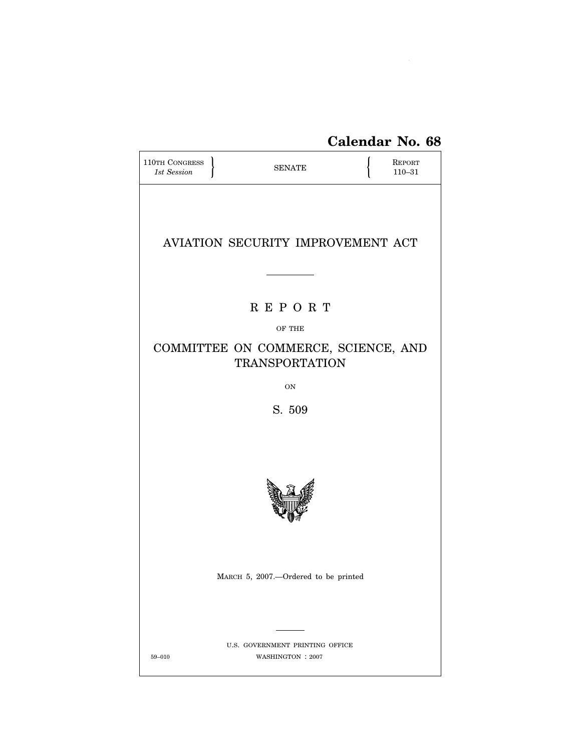# **Calendar No. 68**

| 110TH CONGRESS<br>1st Session                                |  | <b>SENATE</b>                                        |  | <b>REPORT</b><br>$110 - 31$ |  |  |  |  |
|--------------------------------------------------------------|--|------------------------------------------------------|--|-----------------------------|--|--|--|--|
|                                                              |  |                                                      |  |                             |  |  |  |  |
|                                                              |  | AVIATION SECURITY IMPROVEMENT ACT                    |  |                             |  |  |  |  |
|                                                              |  |                                                      |  |                             |  |  |  |  |
| REPORT                                                       |  |                                                      |  |                             |  |  |  |  |
| OF THE                                                       |  |                                                      |  |                             |  |  |  |  |
| COMMITTEE ON COMMERCE, SCIENCE, AND<br><b>TRANSPORTATION</b> |  |                                                      |  |                             |  |  |  |  |
| ON                                                           |  |                                                      |  |                             |  |  |  |  |
| S. 509                                                       |  |                                                      |  |                             |  |  |  |  |
|                                                              |  |                                                      |  |                             |  |  |  |  |
|                                                              |  |                                                      |  |                             |  |  |  |  |
|                                                              |  |                                                      |  |                             |  |  |  |  |
|                                                              |  | MARCH 5, 2007.--Ordered to be printed                |  |                             |  |  |  |  |
|                                                              |  |                                                      |  |                             |  |  |  |  |
| $59 - 010$                                                   |  | U.S. GOVERNMENT PRINTING OFFICE<br>WASHINGTON : 2007 |  |                             |  |  |  |  |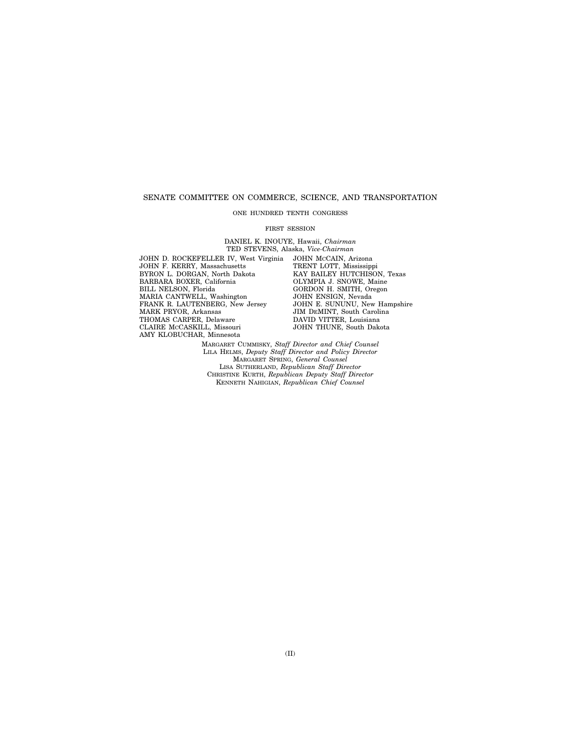## SENATE COMMITTEE ON COMMERCE, SCIENCE, AND TRANSPORTATION

#### ONE HUNDRED TENTH CONGRESS

#### FIRST SESSION

DANIEL K. INOUYE, Hawaii, *Chairman*  TED STEVENS, Alaska, *Vice-Chairman* 

JOHN D. ROCKEFELLER IV, West Virginia JOHN F. KERRY, Massachusetts BYRON L. DORGAN, North Dakota BARBARA BOXER, California BILL NELSON, Florida MARIA CANTWELL, Washington FRANK R. LAUTENBERG, New Jersey MARK PRYOR, Arkansas THOMAS CARPER, Delaware CLAIRE MCCASKILL, Missouri AMY KLOBUCHAR, Minnesota

JOHN MCCAIN, Arizona TRENT LOTT, Mississippi KAY BAILEY HUTCHISON, Texas OLYMPIA J. SNOWE, Maine GORDON H. SMITH, Oregon JOHN ENSIGN, Nevada JOHN E. SUNUNU, New Hampshire JIM DEMINT, South Carolina DAVID VITTER, Louisiana JOHN THUNE, South Dakota

MARGARET CUMMISKY, *Staff Director and Chief Counsel*  LILA HELMS, *Deputy Staff Director and Policy Director*  MARGARET SPRING, *General Counsel*  LISA SUTHERLAND, *Republican Staff Director*  CHRISTINE KURTH, *Republican Deputy Staff Director*  KENNETH NAHIGIAN, *Republican Chief Counsel*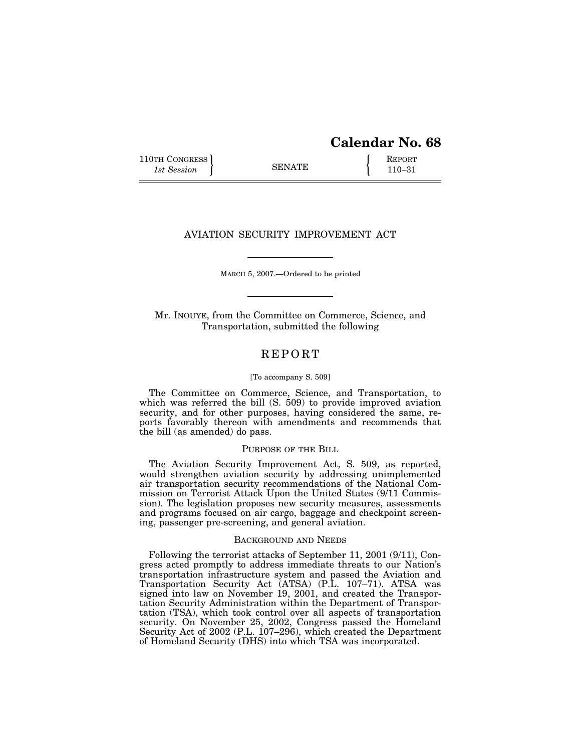## **Calendar No. 68**

110TH CONGRESS REPORT SENATE  $\left\{\begin{array}{c} \text{REPORT} \\ 110-31 \end{array}\right\}$ 1st Session **110–31 110–31** 

## AVIATION SECURITY IMPROVEMENT ACT

MARCH 5, 2007.—Ordered to be printed

Mr. INOUYE, from the Committee on Commerce, Science, and Transportation, submitted the following

## R E P O R T

#### [To accompany S. 509]

The Committee on Commerce, Science, and Transportation, to which was referred the bill (S. 509) to provide improved aviation security, and for other purposes, having considered the same, reports favorably thereon with amendments and recommends that the bill (as amended) do pass.

## PURPOSE OF THE BILL

The Aviation Security Improvement Act, S. 509, as reported, would strengthen aviation security by addressing unimplemented air transportation security recommendations of the National Commission on Terrorist Attack Upon the United States (9/11 Commission). The legislation proposes new security measures, assessments and programs focused on air cargo, baggage and checkpoint screening, passenger pre-screening, and general aviation.

#### BACKGROUND AND NEEDS

Following the terrorist attacks of September 11, 2001 (9/11), Congress acted promptly to address immediate threats to our Nation's transportation infrastructure system and passed the Aviation and Transportation Security Act (ATSA) (P.L. 107–71). ATSA was signed into law on November 19, 2001, and created the Transportation Security Administration within the Department of Transportation (TSA), which took control over all aspects of transportation security. On November 25, 2002, Congress passed the Homeland Security Act of 2002 (P.L. 107–296), which created the Department of Homeland Security (DHS) into which TSA was incorporated.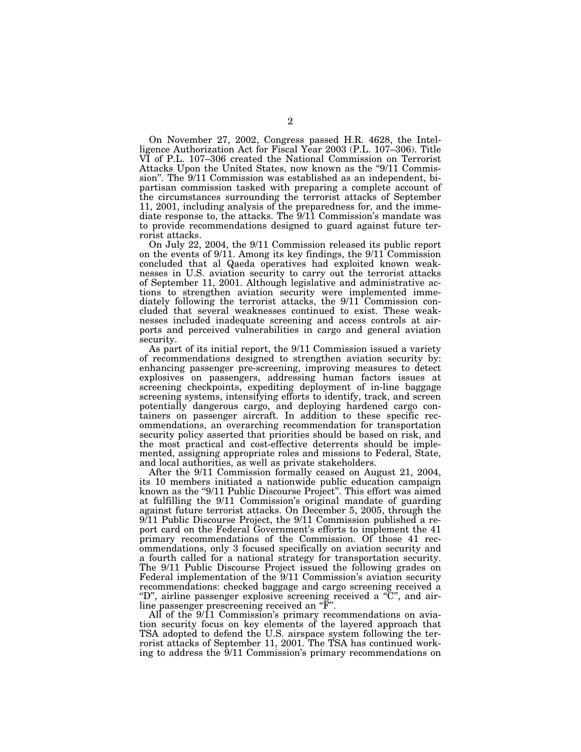On November 27, 2002, Congress passed H.R. 4628, the Intelligence Authorization Act for Fiscal Year 2003 (P.L. 107–306). Title VI of P.L. 107–306 created the National Commission on Terrorist Attacks Upon the United States, now known as the "9/11 Commission''. The 9/11 Commission was established as an independent, bipartisan commission tasked with preparing a complete account of the circumstances surrounding the terrorist attacks of September 11, 2001, including analysis of the preparedness for, and the immediate response to, the attacks. The 9/11 Commission's mandate was to provide recommendations designed to guard against future terrorist attacks.

On July 22, 2004, the 9/11 Commission released its public report on the events of 9/11. Among its key findings, the 9/11 Commission concluded that al Qaeda operatives had exploited known weaknesses in U.S. aviation security to carry out the terrorist attacks of September 11, 2001. Although legislative and administrative actions to strengthen aviation security were implemented immediately following the terrorist attacks, the 9/11 Commission concluded that several weaknesses continued to exist. These weaknesses included inadequate screening and access controls at airports and perceived vulnerabilities in cargo and general aviation security.

As part of its initial report, the 9/11 Commission issued a variety of recommendations designed to strengthen aviation security by: enhancing passenger pre-screening, improving measures to detect explosives on passengers, addressing human factors issues at screening checkpoints, expediting deployment of in-line baggage screening systems, intensifying efforts to identify, track, and screen potentially dangerous cargo, and deploying hardened cargo containers on passenger aircraft. In addition to these specific recommendations, an overarching recommendation for transportation security policy asserted that priorities should be based on risk, and the most practical and cost-effective deterrents should be implemented, assigning appropriate roles and missions to Federal, State, and local authorities, as well as private stakeholders.

After the 9/11 Commission formally ceased on August 21, 2004, its 10 members initiated a nationwide public education campaign known as the "9/11 Public Discourse Project". This effort was aimed at fulfilling the 9/11 Commission's original mandate of guarding against future terrorist attacks. On December 5, 2005, through the 9/11 Public Discourse Project, the 9/11 Commission published a report card on the Federal Government's efforts to implement the 41 primary recommendations of the Commission. Of those 41 recommendations, only 3 focused specifically on aviation security and a fourth called for a national strategy for transportation security. The 9/11 Public Discourse Project issued the following grades on Federal implementation of the 9/11 Commission's aviation security recommendations: checked baggage and cargo screening received a "D", airline passenger explosive screening received a "C", and airline passenger prescreening received an ''F''.

All of the 9/11 Commission's primary recommendations on aviation security focus on key elements of the layered approach that TSA adopted to defend the U.S. airspace system following the terrorist attacks of September 11, 2001. The TSA has continued working to address the 9/11 Commission's primary recommendations on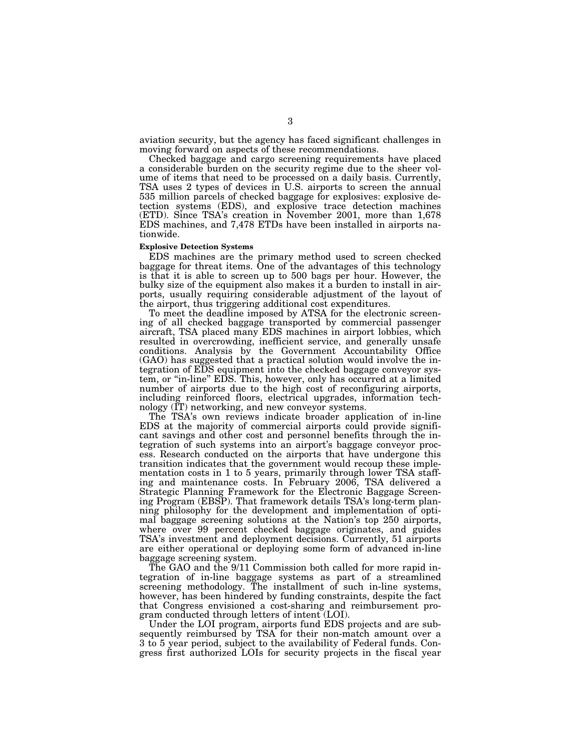aviation security, but the agency has faced significant challenges in moving forward on aspects of these recommendations.

Checked baggage and cargo screening requirements have placed a considerable burden on the security regime due to the sheer volume of items that need to be processed on a daily basis. Currently, TSA uses 2 types of devices in U.S. airports to screen the annual 535 million parcels of checked baggage for explosives: explosive detection systems (EDS), and explosive trace detection machines (ETD). Since TSA's creation in November 2001, more than 1,678 EDS machines, and 7,478 ETDs have been installed in airports nationwide.

#### **Explosive Detection Systems**

EDS machines are the primary method used to screen checked baggage for threat items. One of the advantages of this technology is that it is able to screen up to 500 bags per hour. However, the bulky size of the equipment also makes it a burden to install in airports, usually requiring considerable adjustment of the layout of the airport, thus triggering additional cost expenditures.

To meet the deadline imposed by ATSA for the electronic screening of all checked baggage transported by commercial passenger aircraft, TSA placed many EDS machines in airport lobbies, which resulted in overcrowding, inefficient service, and generally unsafe conditions. Analysis by the Government Accountability Office (GAO) has suggested that a practical solution would involve the integration of EDS equipment into the checked baggage conveyor system, or ''in-line'' EDS. This, however, only has occurred at a limited number of airports due to the high cost of reconfiguring airports, including reinforced floors, electrical upgrades, information technology (IT) networking, and new conveyor systems.

The TSA's own reviews indicate broader application of in-line EDS at the majority of commercial airports could provide significant savings and other cost and personnel benefits through the integration of such systems into an airport's baggage conveyor process. Research conducted on the airports that have undergone this transition indicates that the government would recoup these implementation costs in 1 to 5 years, primarily through lower TSA staffing and maintenance costs. In February 2006, TSA delivered a Strategic Planning Framework for the Electronic Baggage Screening Program (EBSP). That framework details TSA's long-term planning philosophy for the development and implementation of optimal baggage screening solutions at the Nation's top 250 airports, where over 99 percent checked baggage originates, and guides TSA's investment and deployment decisions. Currently, 51 airports are either operational or deploying some form of advanced in-line baggage screening system.

The GAO and the 9/11 Commission both called for more rapid integration of in-line baggage systems as part of a streamlined screening methodology. The installment of such in-line systems, however, has been hindered by funding constraints, despite the fact that Congress envisioned a cost-sharing and reimbursement program conducted through letters of intent (LOI).

Under the LOI program, airports fund EDS projects and are subsequently reimbursed by TSA for their non-match amount over a 3 to 5 year period, subject to the availability of Federal funds. Congress first authorized LOIs for security projects in the fiscal year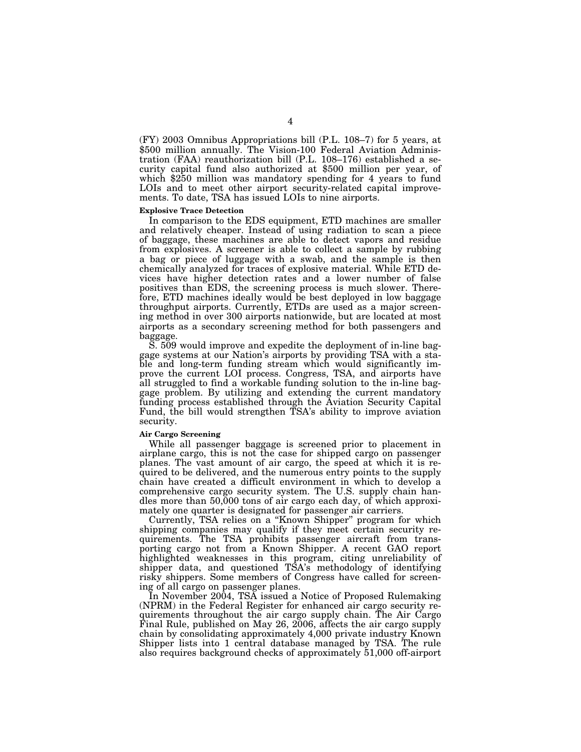(FY) 2003 Omnibus Appropriations bill (P.L. 108–7) for 5 years, at \$500 million annually. The Vision-100 Federal Aviation Administration (FAA) reauthorization bill (P.L. 108–176) established a security capital fund also authorized at \$500 million per year, of which \$250 million was mandatory spending for 4 years to fund LOIs and to meet other airport security-related capital improvements. To date, TSA has issued LOIs to nine airports.

## **Explosive Trace Detection**

In comparison to the EDS equipment, ETD machines are smaller and relatively cheaper. Instead of using radiation to scan a piece of baggage, these machines are able to detect vapors and residue from explosives. A screener is able to collect a sample by rubbing a bag or piece of luggage with a swab, and the sample is then chemically analyzed for traces of explosive material. While ETD devices have higher detection rates and a lower number of false positives than EDS, the screening process is much slower. Therefore, ETD machines ideally would be best deployed in low baggage throughput airports. Currently, ETDs are used as a major screening method in over 300 airports nationwide, but are located at most airports as a secondary screening method for both passengers and baggage.

S. 509 would improve and expedite the deployment of in-line baggage systems at our Nation's airports by providing TSA with a stable and long-term funding stream which would significantly improve the current LOI process. Congress, TSA, and airports have all struggled to find a workable funding solution to the in-line baggage problem. By utilizing and extending the current mandatory funding process established through the Aviation Security Capital Fund, the bill would strengthen TSA's ability to improve aviation security.

#### **Air Cargo Screening**

While all passenger baggage is screened prior to placement in airplane cargo, this is not the case for shipped cargo on passenger planes. The vast amount of air cargo, the speed at which it is required to be delivered, and the numerous entry points to the supply chain have created a difficult environment in which to develop a comprehensive cargo security system. The U.S. supply chain handles more than 50,000 tons of air cargo each day, of which approximately one quarter is designated for passenger air carriers.

Currently, TSA relies on a ''Known Shipper'' program for which shipping companies may qualify if they meet certain security requirements. The TSA prohibits passenger aircraft from transporting cargo not from a Known Shipper. A recent GAO report highlighted weaknesses in this program, citing unreliability of shipper data, and questioned TSA's methodology of identifying risky shippers. Some members of Congress have called for screening of all cargo on passenger planes.

In November 2004, TSA issued a Notice of Proposed Rulemaking (NPRM) in the Federal Register for enhanced air cargo security requirements throughout the air cargo supply chain. The Air Cargo Final Rule, published on May 26, 2006, affects the air cargo supply chain by consolidating approximately 4,000 private industry Known Shipper lists into 1 central database managed by TSA. The rule also requires background checks of approximately 51,000 off-airport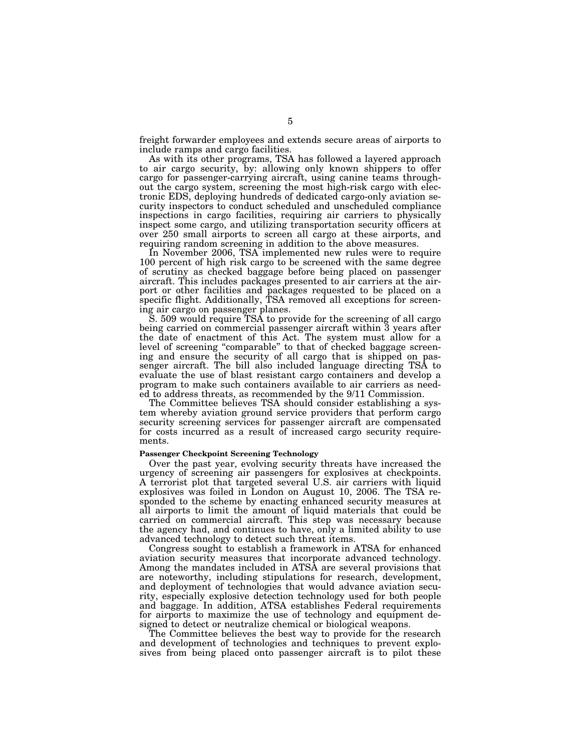freight forwarder employees and extends secure areas of airports to include ramps and cargo facilities.

As with its other programs, TSA has followed a layered approach to air cargo security, by: allowing only known shippers to offer cargo for passenger-carrying aircraft, using canine teams throughout the cargo system, screening the most high-risk cargo with electronic EDS, deploying hundreds of dedicated cargo-only aviation security inspectors to conduct scheduled and unscheduled compliance inspections in cargo facilities, requiring air carriers to physically inspect some cargo, and utilizing transportation security officers at over 250 small airports to screen all cargo at these airports, and requiring random screening in addition to the above measures.

In November 2006, TSA implemented new rules were to require 100 percent of high risk cargo to be screened with the same degree of scrutiny as checked baggage before being placed on passenger aircraft. This includes packages presented to air carriers at the airport or other facilities and packages requested to be placed on a specific flight. Additionally, TSA removed all exceptions for screening air cargo on passenger planes.

S. 509 would require TSA to provide for the screening of all cargo being carried on commercial passenger aircraft within  $\bar{3}$  years after the date of enactment of this Act. The system must allow for a level of screening "comparable" to that of checked baggage screening and ensure the security of all cargo that is shipped on passenger aircraft. The bill also included language directing TSA to evaluate the use of blast resistant cargo containers and develop a program to make such containers available to air carriers as needed to address threats, as recommended by the 9/11 Commission.

The Committee believes TSA should consider establishing a system whereby aviation ground service providers that perform cargo security screening services for passenger aircraft are compensated for costs incurred as a result of increased cargo security requirements.

#### **Passenger Checkpoint Screening Technology**

Over the past year, evolving security threats have increased the urgency of screening air passengers for explosives at checkpoints. A terrorist plot that targeted several U.S. air carriers with liquid explosives was foiled in London on August 10, 2006. The TSA responded to the scheme by enacting enhanced security measures at all airports to limit the amount of liquid materials that could be carried on commercial aircraft. This step was necessary because the agency had, and continues to have, only a limited ability to use advanced technology to detect such threat items.

Congress sought to establish a framework in ATSA for enhanced aviation security measures that incorporate advanced technology. Among the mandates included in ATSA are several provisions that are noteworthy, including stipulations for research, development, and deployment of technologies that would advance aviation security, especially explosive detection technology used for both people and baggage. In addition, ATSA establishes Federal requirements for airports to maximize the use of technology and equipment designed to detect or neutralize chemical or biological weapons.

The Committee believes the best way to provide for the research and development of technologies and techniques to prevent explosives from being placed onto passenger aircraft is to pilot these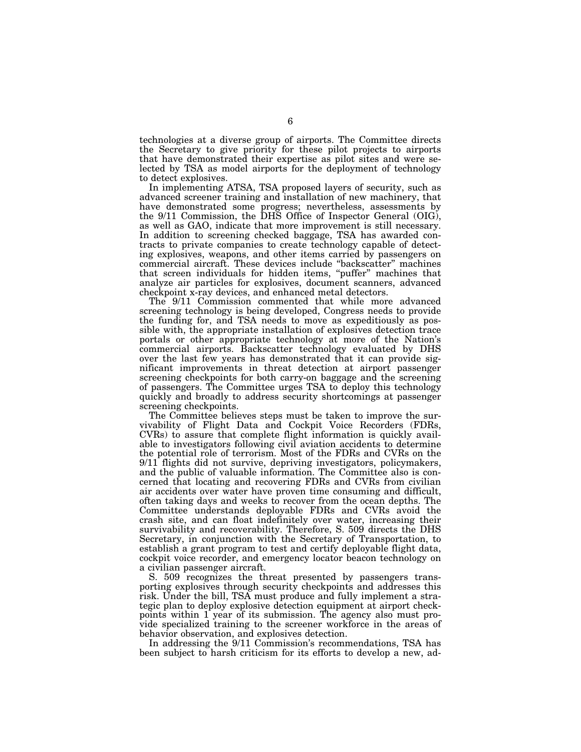technologies at a diverse group of airports. The Committee directs the Secretary to give priority for these pilot projects to airports that have demonstrated their expertise as pilot sites and were selected by TSA as model airports for the deployment of technology to detect explosives.

In implementing ATSA, TSA proposed layers of security, such as advanced screener training and installation of new machinery, that have demonstrated some progress; nevertheless, assessments by the 9/11 Commission, the DHS Office of Inspector General (OIG), as well as GAO, indicate that more improvement is still necessary. In addition to screening checked baggage, TSA has awarded contracts to private companies to create technology capable of detecting explosives, weapons, and other items carried by passengers on commercial aircraft. These devices include ''backscatter'' machines that screen individuals for hidden items, ''puffer'' machines that analyze air particles for explosives, document scanners, advanced checkpoint x-ray devices, and enhanced metal detectors.

The 9/11 Commission commented that while more advanced screening technology is being developed, Congress needs to provide the funding for, and TSA needs to move as expeditiously as possible with, the appropriate installation of explosives detection trace portals or other appropriate technology at more of the Nation's commercial airports. Backscatter technology evaluated by DHS over the last few years has demonstrated that it can provide significant improvements in threat detection at airport passenger screening checkpoints for both carry-on baggage and the screening of passengers. The Committee urges TSA to deploy this technology quickly and broadly to address security shortcomings at passenger screening checkpoints.

The Committee believes steps must be taken to improve the survivability of Flight Data and Cockpit Voice Recorders (FDRs, CVRs) to assure that complete flight information is quickly available to investigators following civil aviation accidents to determine the potential role of terrorism. Most of the FDRs and CVRs on the 9/11 flights did not survive, depriving investigators, policymakers, and the public of valuable information. The Committee also is concerned that locating and recovering FDRs and CVRs from civilian air accidents over water have proven time consuming and difficult, often taking days and weeks to recover from the ocean depths. The Committee understands deployable FDRs and CVRs avoid the crash site, and can float indefinitely over water, increasing their survivability and recoverability. Therefore, S. 509 directs the DHS Secretary, in conjunction with the Secretary of Transportation, to establish a grant program to test and certify deployable flight data, cockpit voice recorder, and emergency locator beacon technology on a civilian passenger aircraft.

S. 509 recognizes the threat presented by passengers transporting explosives through security checkpoints and addresses this risk. Under the bill, TSA must produce and fully implement a strategic plan to deploy explosive detection equipment at airport checkpoints within 1 year of its submission. The agency also must provide specialized training to the screener workforce in the areas of behavior observation, and explosives detection.

In addressing the 9/11 Commission's recommendations, TSA has been subject to harsh criticism for its efforts to develop a new, ad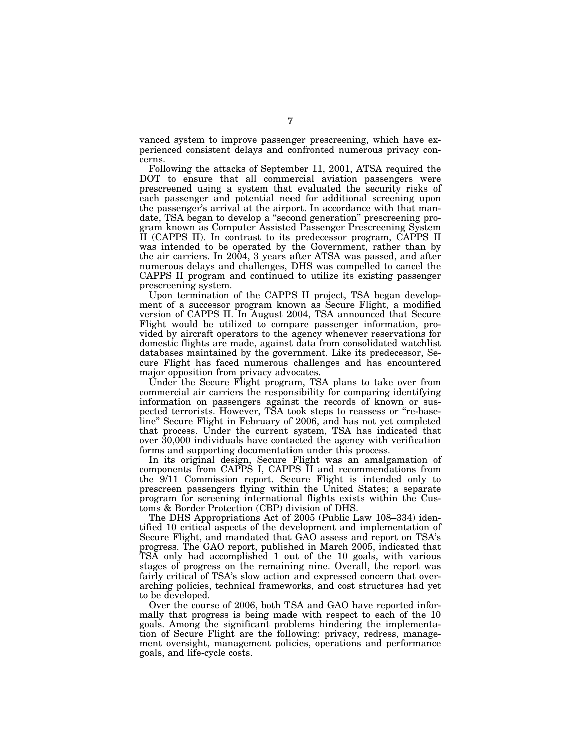vanced system to improve passenger prescreening, which have experienced consistent delays and confronted numerous privacy concerns.

Following the attacks of September 11, 2001, ATSA required the DOT to ensure that all commercial aviation passengers were prescreened using a system that evaluated the security risks of each passenger and potential need for additional screening upon the passenger's arrival at the airport. In accordance with that mandate, TSA began to develop a ''second generation'' prescreening program known as Computer Assisted Passenger Prescreening System II (CAPPS II). In contrast to its predecessor program, CAPPS II was intended to be operated by the Government, rather than by the air carriers. In 2004, 3 years after ATSA was passed, and after numerous delays and challenges, DHS was compelled to cancel the CAPPS II program and continued to utilize its existing passenger prescreening system.

Upon termination of the CAPPS II project, TSA began development of a successor program known as Secure Flight, a modified version of CAPPS II. In August 2004, TSA announced that Secure Flight would be utilized to compare passenger information, provided by aircraft operators to the agency whenever reservations for domestic flights are made, against data from consolidated watchlist databases maintained by the government. Like its predecessor, Secure Flight has faced numerous challenges and has encountered major opposition from privacy advocates.

Under the Secure Flight program, TSA plans to take over from commercial air carriers the responsibility for comparing identifying information on passengers against the records of known or suspected terrorists. However, TSA took steps to reassess or ''re-baseline'' Secure Flight in February of 2006, and has not yet completed that process. Under the current system, TSA has indicated that over 30,000 individuals have contacted the agency with verification forms and supporting documentation under this process.

In its original design, Secure Flight was an amalgamation of components from CAPPS I, CAPPS II and recommendations from the 9/11 Commission report. Secure Flight is intended only to prescreen passengers flying within the United States; a separate program for screening international flights exists within the Customs & Border Protection (CBP) division of DHS.

The DHS Appropriations Act of 2005 (Public Law 108–334) identified 10 critical aspects of the development and implementation of Secure Flight, and mandated that GAO assess and report on TSA's progress. The GAO report, published in March 2005, indicated that TSA only had accomplished 1 out of the 10 goals, with various stages of progress on the remaining nine. Overall, the report was fairly critical of TSA's slow action and expressed concern that overarching policies, technical frameworks, and cost structures had yet to be developed.

Over the course of 2006, both TSA and GAO have reported informally that progress is being made with respect to each of the 10 goals. Among the significant problems hindering the implementation of Secure Flight are the following: privacy, redress, management oversight, management policies, operations and performance goals, and life-cycle costs.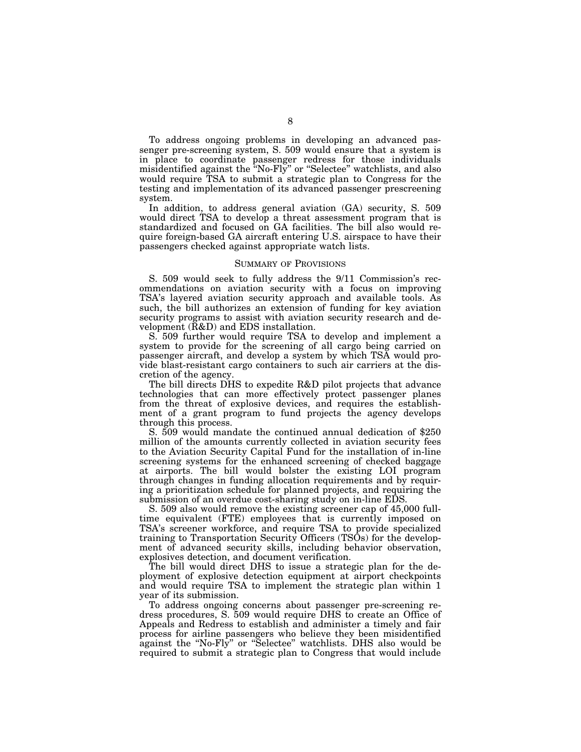To address ongoing problems in developing an advanced passenger pre-screening system, S. 509 would ensure that a system is in place to coordinate passenger redress for those individuals misidentified against the ''No-Fly'' or ''Selectee'' watchlists, and also would require TSA to submit a strategic plan to Congress for the testing and implementation of its advanced passenger prescreening system.

In addition, to address general aviation (GA) security, S. 509 would direct TSA to develop a threat assessment program that is standardized and focused on GA facilities. The bill also would require foreign-based GA aircraft entering U.S. airspace to have their passengers checked against appropriate watch lists.

#### SUMMARY OF PROVISIONS

S. 509 would seek to fully address the 9/11 Commission's recommendations on aviation security with a focus on improving TSA's layered aviation security approach and available tools. As such, the bill authorizes an extension of funding for key aviation security programs to assist with aviation security research and development (R&D) and EDS installation.

S. 509 further would require TSA to develop and implement a system to provide for the screening of all cargo being carried on passenger aircraft, and develop a system by which TSA would provide blast-resistant cargo containers to such air carriers at the discretion of the agency.

The bill directs DHS to expedite R&D pilot projects that advance technologies that can more effectively protect passenger planes from the threat of explosive devices, and requires the establishment of a grant program to fund projects the agency develops through this process.

S. 509 would mandate the continued annual dedication of \$250 million of the amounts currently collected in aviation security fees to the Aviation Security Capital Fund for the installation of in-line screening systems for the enhanced screening of checked baggage at airports. The bill would bolster the existing LOI program through changes in funding allocation requirements and by requiring a prioritization schedule for planned projects, and requiring the submission of an overdue cost-sharing study on in-line EDS.

S. 509 also would remove the existing screener cap of 45,000 fulltime equivalent (FTE) employees that is currently imposed on TSA's screener workforce, and require TSA to provide specialized training to Transportation Security Officers (TSOs) for the development of advanced security skills, including behavior observation, explosives detection, and document verification.

The bill would direct DHS to issue a strategic plan for the deployment of explosive detection equipment at airport checkpoints and would require TSA to implement the strategic plan within 1 year of its submission.

To address ongoing concerns about passenger pre-screening redress procedures, S. 509 would require DHS to create an Office of Appeals and Redress to establish and administer a timely and fair process for airline passengers who believe they been misidentified against the ''No-Fly'' or ''Selectee'' watchlists. DHS also would be required to submit a strategic plan to Congress that would include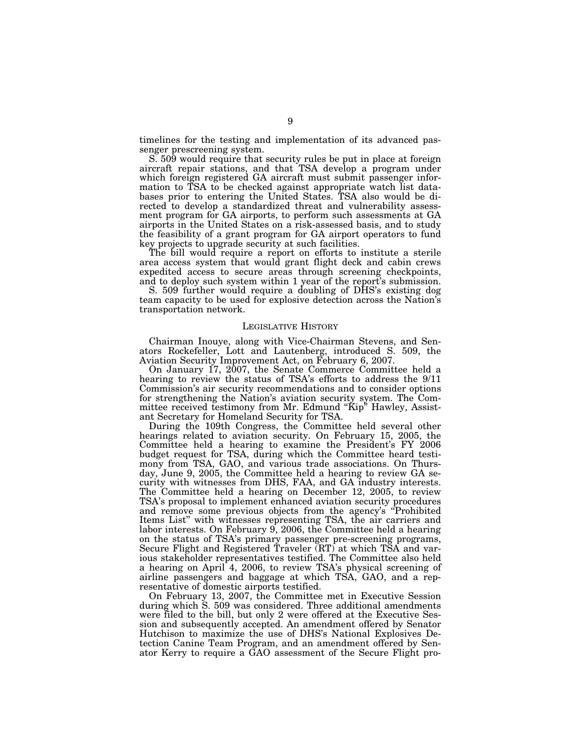timelines for the testing and implementation of its advanced passenger prescreening system.

S. 509 would require that security rules be put in place at foreign aircraft repair stations, and that TSA develop a program under which foreign registered GA aircraft must submit passenger information to TSA to be checked against appropriate watch list databases prior to entering the United States. TSA also would be directed to develop a standardized threat and vulnerability assessment program for GA airports, to perform such assessments at GA airports in the United States on a risk-assessed basis, and to study the feasibility of a grant program for GA airport operators to fund key projects to upgrade security at such facilities.

The bill would require a report on efforts to institute a sterile area access system that would grant flight deck and cabin crews expedited access to secure areas through screening checkpoints, and to deploy such system within 1 year of the report's submission.

S. 509 further would require a doubling of DHS's existing dog team capacity to be used for explosive detection across the Nation's transportation network.

#### LEGISLATIVE HISTORY

Chairman Inouye, along with Vice-Chairman Stevens, and Senators Rockefeller, Lott and Lautenberg, introduced S. 509, the Aviation Security Improvement Act, on February 6, 2007.

On January 17, 2007, the Senate Commerce Committee held a hearing to review the status of TSA's efforts to address the 9/11 Commission's air security recommendations and to consider options for strengthening the Nation's aviation security system. The Committee received testimony from Mr. Edmund ''Kip'' Hawley, Assistant Secretary for Homeland Security for TSA.

During the 109th Congress, the Committee held several other hearings related to aviation security. On February 15, 2005, the Committee held a hearing to examine the President's FY 2006 budget request for TSA, during which the Committee heard testimony from TSA, GAO, and various trade associations. On Thursday, June 9, 2005, the Committee held a hearing to review GA security with witnesses from DHS, FAA, and GA industry interests. The Committee held a hearing on December 12, 2005, to review TSA's proposal to implement enhanced aviation security procedures and remove some previous objects from the agency's ''Prohibited Items List'' with witnesses representing TSA, the air carriers and labor interests. On February 9, 2006, the Committee held a hearing on the status of TSA's primary passenger pre-screening programs, Secure Flight and Registered Traveler (RT) at which TSA and various stakeholder representatives testified. The Committee also held a hearing on April 4, 2006, to review TSA's physical screening of airline passengers and baggage at which TSA, GAO, and a representative of domestic airports testified.

On February 13, 2007, the Committee met in Executive Session during which S. 509 was considered. Three additional amendments were filed to the bill, but only 2 were offered at the Executive Session and subsequently accepted. An amendment offered by Senator Hutchison to maximize the use of DHS's National Explosives Detection Canine Team Program, and an amendment offered by Senator Kerry to require a GAO assessment of the Secure Flight pro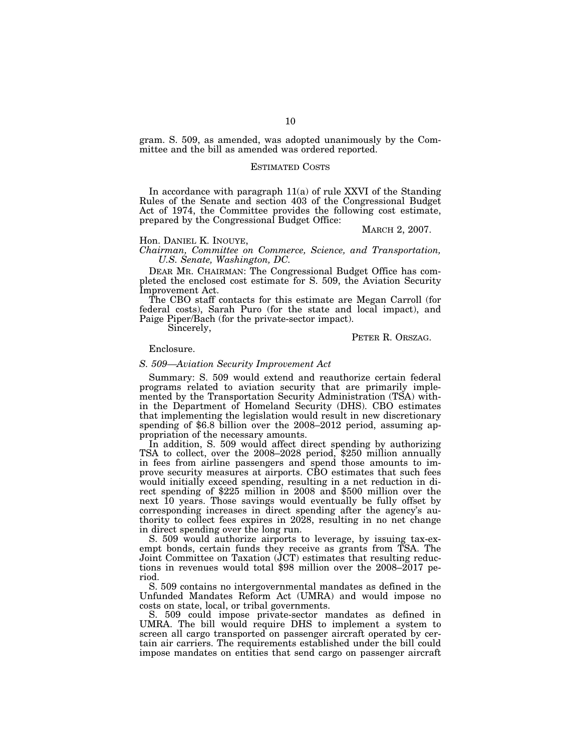gram. S. 509, as amended, was adopted unanimously by the Committee and the bill as amended was ordered reported.

#### ESTIMATED COSTS

In accordance with paragraph 11(a) of rule XXVI of the Standing Rules of the Senate and section 403 of the Congressional Budget Act of 1974, the Committee provides the following cost estimate, prepared by the Congressional Budget Office:

## MARCH 2, 2007.

#### Hon. DANIEL K. INOUYE,

*Chairman, Committee on Commerce, Science, and Transportation, U.S. Senate, Washington, DC.* 

DEAR MR. CHAIRMAN: The Congressional Budget Office has completed the enclosed cost estimate for S. 509, the Aviation Security Improvement Act.

The CBO staff contacts for this estimate are Megan Carroll (for federal costs), Sarah Puro (for the state and local impact), and Paige Piper/Bach (for the private-sector impact).

Sincerely,

#### PETER R. ORSZAG.

## Enclosure.

## *S. 509—Aviation Security Improvement Act*

Summary: S. 509 would extend and reauthorize certain federal programs related to aviation security that are primarily implemented by the Transportation Security Administration (TSA) within the Department of Homeland Security (DHS). CBO estimates that implementing the legislation would result in new discretionary spending of \$6.8 billion over the 2008–2012 period, assuming appropriation of the necessary amounts.

In addition, S. 509 would affect direct spending by authorizing TSA to collect, over the 2008–2028 period, \$250 million annually in fees from airline passengers and spend those amounts to improve security measures at airports. CBO estimates that such fees would initially exceed spending, resulting in a net reduction in direct spending of \$225 million in 2008 and \$500 million over the next 10 years. Those savings would eventually be fully offset by corresponding increases in direct spending after the agency's authority to collect fees expires in 2028, resulting in no net change in direct spending over the long run.

S. 509 would authorize airports to leverage, by issuing tax-exempt bonds, certain funds they receive as grants from TSA. The Joint Committee on Taxation (JCT) estimates that resulting reductions in revenues would total \$98 million over the 2008–2017 period.

S. 509 contains no intergovernmental mandates as defined in the Unfunded Mandates Reform Act (UMRA) and would impose no costs on state, local, or tribal governments.

S. 509 could impose private-sector mandates as defined in UMRA. The bill would require DHS to implement a system to screen all cargo transported on passenger aircraft operated by certain air carriers. The requirements established under the bill could impose mandates on entities that send cargo on passenger aircraft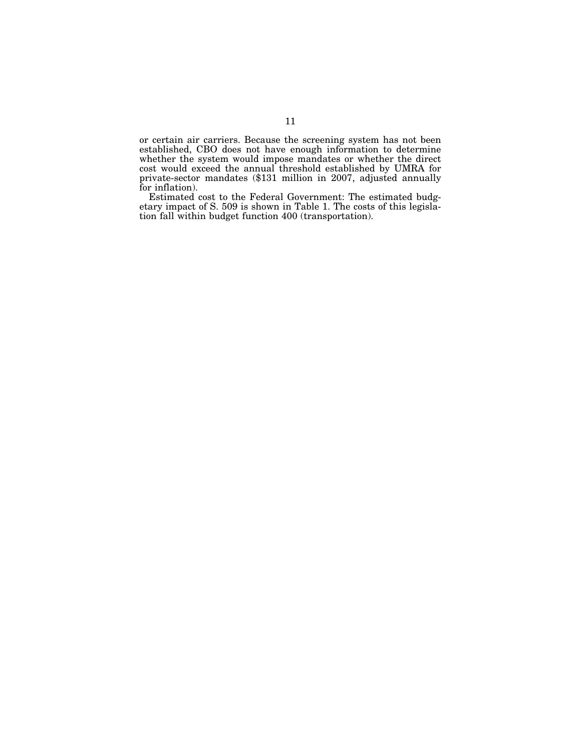or certain air carriers. Because the screening system has not been established, CBO does not have enough information to determine whether the system would impose mandates or whether the direct cost would exceed the annual threshold established by UMRA for private-sector mandates (\$131 million in 2007, adjusted annually for inflation).

Estimated cost to the Federal Government: The estimated budgetary impact of S. 509 is shown in Table 1. The costs of this legislation fall within budget function 400 (transportation).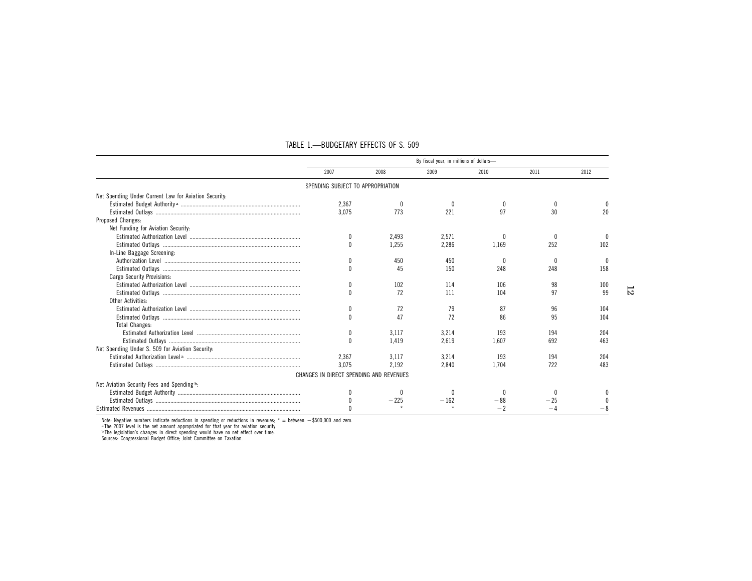|                                                       | By fiscal year, in millions of dollars- |        |        |       |      |      |
|-------------------------------------------------------|-----------------------------------------|--------|--------|-------|------|------|
|                                                       | 2007                                    | 2008   | 2009   | 2010  | 2011 | 2012 |
|                                                       | SPENDING SUBJECT TO APPROPRIATION       |        |        |       |      |      |
| Net Spending Under Current Law for Aviation Security: |                                         |        |        |       |      |      |
|                                                       | 2,367                                   |        |        |       |      |      |
|                                                       | 3.075                                   | 773    | 221    | 97    | 30   | 20   |
| Proposed Changes:                                     |                                         |        |        |       |      |      |
| Net Funding for Aviation Security:                    |                                         |        |        |       |      |      |
|                                                       | 0                                       | 2.493  | 2.571  |       |      |      |
|                                                       | $\theta$                                | 1.255  | 2.286  | 1.169 | 252  | 102  |
| In-Line Baggage Screening:                            |                                         |        |        |       |      |      |
|                                                       |                                         | 450    | 450    |       |      |      |
|                                                       |                                         | 45     | 150    | 248   | 248  | 158  |
| Cargo Security Provisions:                            |                                         |        |        |       |      |      |
|                                                       |                                         | 102    | 114    | 106   | 98   | 100  |
|                                                       |                                         | 72     | 111    | 104   | 97   | 99   |
| Other Activities:                                     |                                         |        |        |       |      |      |
|                                                       |                                         | 72     | 79     | 87    | 96   | 104  |
|                                                       |                                         | 47     | 72     | 86    | 95   | 104  |
| <b>Total Changes:</b>                                 |                                         |        |        |       |      |      |
|                                                       | $\theta$                                | 3.117  | 3,214  | 193   | 194  | 204  |
|                                                       |                                         | 1.419  | 2.619  | 1,607 | 692  | 463  |
| Net Spending Under S. 509 for Aviation Security:      |                                         |        |        |       |      |      |
|                                                       | 2.367                                   | 3.117  | 3.214  | 193   | 194  | 204  |
|                                                       | 3.075                                   | 2.192  | 2.840  | 1.704 | 722  | 483  |
|                                                       | CHANGES IN DIRECT SPENDING AND REVENUES |        |        |       |      |      |
| Net Aviation Security Fees and Spending b.            |                                         |        |        |       |      |      |
|                                                       |                                         |        |        |       |      |      |
|                                                       |                                         | $-225$ | $-162$ |       |      |      |
|                                                       |                                         |        |        |       |      |      |

## TABLE 1.—BUDGETARY EFFECTS OF S. 509

Note: Negative numbers indicate reductions in spending or reductions in revenues; \* = between  $-$ \$500,000 and zero.<br>¤The 2007 level is the net amount appropriated for that year for aviation security.<br>□The legislation's cha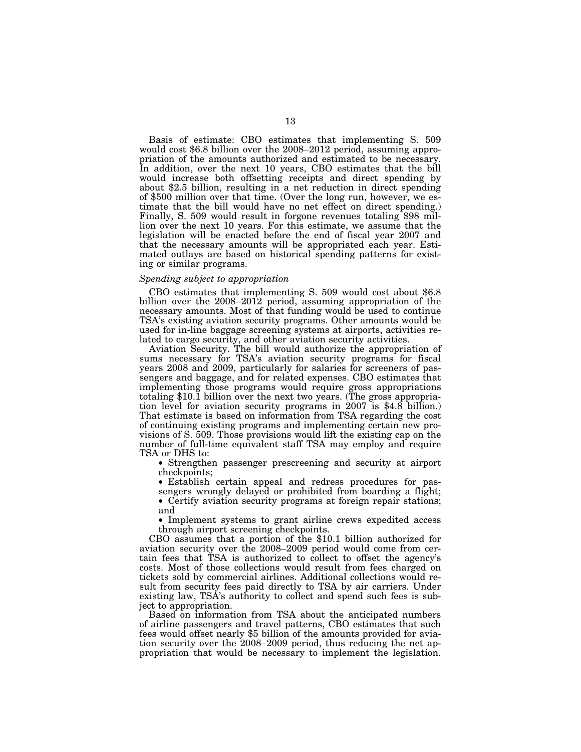Basis of estimate: CBO estimates that implementing S. 509 would cost \$6.8 billion over the 2008–2012 period, assuming appropriation of the amounts authorized and estimated to be necessary. In addition, over the next 10 years, CBO estimates that the bill would increase both offsetting receipts and direct spending by about \$2.5 billion, resulting in a net reduction in direct spending of \$500 million over that time. (Over the long run, however, we estimate that the bill would have no net effect on direct spending.) Finally, S. 509 would result in forgone revenues totaling \$98 million over the next 10 years. For this estimate, we assume that the legislation will be enacted before the end of fiscal year 2007 and that the necessary amounts will be appropriated each year. Estimated outlays are based on historical spending patterns for existing or similar programs.

## *Spending subject to appropriation*

CBO estimates that implementing S. 509 would cost about \$6.8 billion over the 2008–2012 period, assuming appropriation of the necessary amounts. Most of that funding would be used to continue TSA's existing aviation security programs. Other amounts would be used for in-line baggage screening systems at airports, activities related to cargo security, and other aviation security activities.

Aviation Security. The bill would authorize the appropriation of sums necessary for TSA's aviation security programs for fiscal years 2008 and 2009, particularly for salaries for screeners of passengers and baggage, and for related expenses. CBO estimates that implementing those programs would require gross appropriations totaling \$10.1 billion over the next two years. (The gross appropriation level for aviation security programs in 2007 is \$4.8 billion.) That estimate is based on information from TSA regarding the cost of continuing existing programs and implementing certain new provisions of S. 509. Those provisions would lift the existing cap on the number of full-time equivalent staff TSA may employ and require TSA or DHS to:

• Strengthen passenger prescreening and security at airport checkpoints;

• Establish certain appeal and redress procedures for passengers wrongly delayed or prohibited from boarding a flight; • Certify aviation security programs at foreign repair stations; and

• Implement systems to grant airline crews expedited access through airport screening checkpoints.

CBO assumes that a portion of the \$10.1 billion authorized for aviation security over the 2008–2009 period would come from certain fees that TSA is authorized to collect to offset the agency's costs. Most of those collections would result from fees charged on tickets sold by commercial airlines. Additional collections would result from security fees paid directly to TSA by air carriers. Under existing law, TSA's authority to collect and spend such fees is subject to appropriation.

Based on information from TSA about the anticipated numbers of airline passengers and travel patterns, CBO estimates that such fees would offset nearly \$5 billion of the amounts provided for aviation security over the 2008–2009 period, thus reducing the net appropriation that would be necessary to implement the legislation.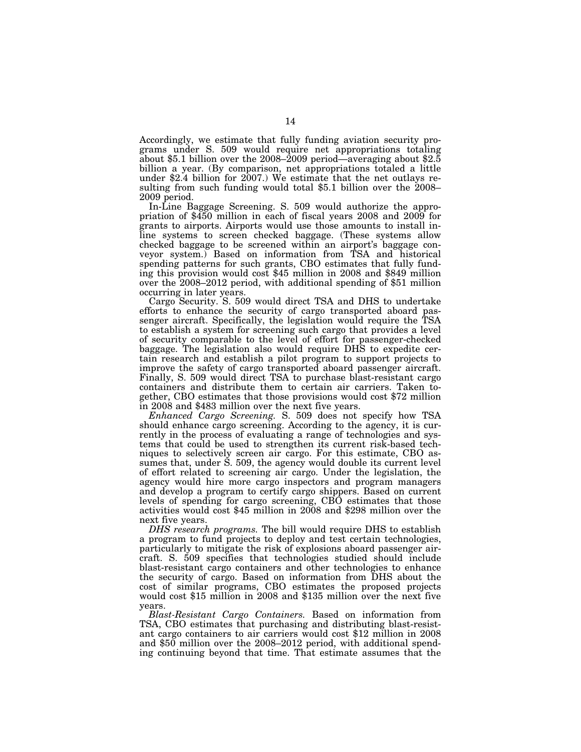Accordingly, we estimate that fully funding aviation security programs under S. 509 would require net appropriations totaling about \$5.1 billion over the 2008–2009 period—averaging about \$2.5 billion a year. (By comparison, net appropriations totaled a little under \$2.4 billion for 2007.) We estimate that the net outlays resulting from such funding would total \$5.1 billion over the 2008– 2009 period.

In-Line Baggage Screening. S. 509 would authorize the appro- priation of \$450 million in each of fiscal years 2008 and 2009 for grants to airports. Airports would use those amounts to install inline systems to screen checked baggage. (These systems allow checked baggage to be screened within an airport's baggage conveyor system.) Based on information from TSA and historical spending patterns for such grants, CBO estimates that fully funding this provision would cost \$45 million in 2008 and \$849 million over the 2008–2012 period, with additional spending of \$51 million occurring in later years.

Cargo Security. S. 509 would direct TSA and DHS to undertake efforts to enhance the security of cargo transported aboard passenger aircraft. Specifically, the legislation would require the TSA to establish a system for screening such cargo that provides a level of security comparable to the level of effort for passenger-checked baggage. The legislation also would require DHS to expedite certain research and establish a pilot program to support projects to improve the safety of cargo transported aboard passenger aircraft. Finally, S. 509 would direct TSA to purchase blast-resistant cargo containers and distribute them to certain air carriers. Taken together, CBO estimates that those provisions would cost \$72 million in 2008 and \$483 million over the next five years.

*Enhanced Cargo Screening.* S. 509 does not specify how TSA should enhance cargo screening. According to the agency, it is currently in the process of evaluating a range of technologies and systems that could be used to strengthen its current risk-based techniques to selectively screen air cargo. For this estimate, CBO assumes that, under S. 509, the agency would double its current level of effort related to screening air cargo. Under the legislation, the agency would hire more cargo inspectors and program managers and develop a program to certify cargo shippers. Based on current levels of spending for cargo screening, CBO estimates that those activities would cost \$45 million in 2008 and \$298 million over the next five years.

*DHS research programs.* The bill would require DHS to establish a program to fund projects to deploy and test certain technologies, particularly to mitigate the risk of explosions aboard passenger aircraft. S. 509 specifies that technologies studied should include blast-resistant cargo containers and other technologies to enhance the security of cargo. Based on information from DHS about the cost of similar programs, CBO estimates the proposed projects would cost \$15 million in 2008 and \$135 million over the next five years.

*Blast-Resistant Cargo Containers.* Based on information from TSA, CBO estimates that purchasing and distributing blast-resistant cargo containers to air carriers would cost \$12 million in 2008 and \$50 million over the 2008–2012 period, with additional spending continuing beyond that time. That estimate assumes that the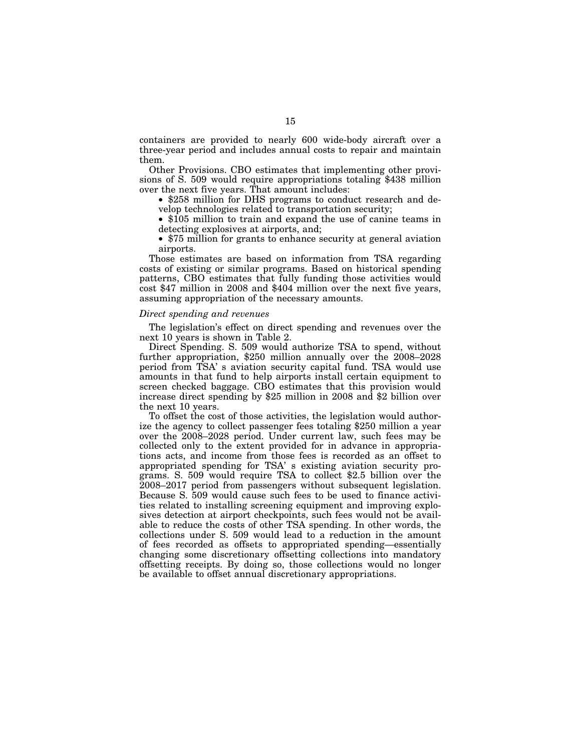containers are provided to nearly 600 wide-body aircraft over a three-year period and includes annual costs to repair and maintain them.

Other Provisions. CBO estimates that implementing other provisions of S. 509 would require appropriations totaling \$438 million over the next five years. That amount includes:

• \$258 million for DHS programs to conduct research and develop technologies related to transportation security;

• \$105 million to train and expand the use of canine teams in detecting explosives at airports, and;

• \$75 million for grants to enhance security at general aviation airports.

Those estimates are based on information from TSA regarding costs of existing or similar programs. Based on historical spending patterns, CBO estimates that fully funding those activities would cost \$47 million in 2008 and \$404 million over the next five years, assuming appropriation of the necessary amounts.

## *Direct spending and revenues*

The legislation's effect on direct spending and revenues over the next 10 years is shown in Table 2.

Direct Spending. S. 509 would authorize TSA to spend, without further appropriation, \$250 million annually over the 2008–2028 period from TSA' s aviation security capital fund. TSA would use amounts in that fund to help airports install certain equipment to screen checked baggage. CBO estimates that this provision would increase direct spending by \$25 million in 2008 and \$2 billion over the next 10 years.

To offset the cost of those activities, the legislation would authorize the agency to collect passenger fees totaling \$250 million a year over the 2008–2028 period. Under current law, such fees may be collected only to the extent provided for in advance in appropriations acts, and income from those fees is recorded as an offset to appropriated spending for TSA' s existing aviation security programs. S. 509 would require TSA to collect \$2.5 billion over the 2008–2017 period from passengers without subsequent legislation. Because S. 509 would cause such fees to be used to finance activities related to installing screening equipment and improving explosives detection at airport checkpoints, such fees would not be available to reduce the costs of other TSA spending. In other words, the collections under S. 509 would lead to a reduction in the amount of fees recorded as offsets to appropriated spending—essentially changing some discretionary offsetting collections into mandatory offsetting receipts. By doing so, those collections would no longer be available to offset annual discretionary appropriations.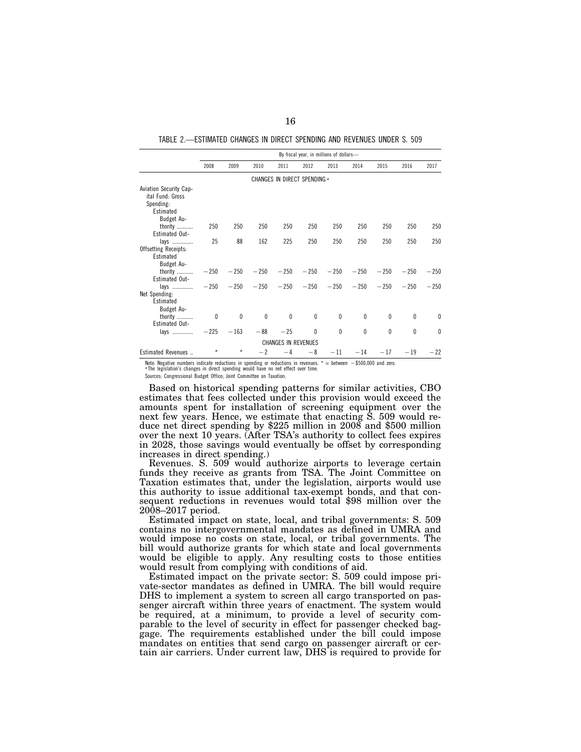TABLE 2.—ESTIMATED CHANGES IN DIRECT SPENDING AND REVENUES UNDER S. 509

|                                                                                           | By fiscal year, in millions of dollars- |              |          |                                                  |              |              |              |              |              |              |
|-------------------------------------------------------------------------------------------|-----------------------------------------|--------------|----------|--------------------------------------------------|--------------|--------------|--------------|--------------|--------------|--------------|
|                                                                                           | 2008                                    | 2009         | 2010     | 2011                                             | 2012         | 2013         | 2014         | 2015         | 2016         | 2017         |
|                                                                                           |                                         |              |          | CHANGES IN DIRECT SPENDING a                     |              |              |              |              |              |              |
| <b>Aviation Security Cap-</b><br>ital Fund: Gross<br>Spending:<br>Estimated<br>Budget Au- |                                         |              |          |                                                  |              |              |              |              |              |              |
| thority<br>Estimated Out-                                                                 | 250                                     | 250          | 250      | 250                                              | 250          | 250          | 250          | 250          | 250          | 250          |
| lays<br>Offsetting Receipts:<br>Estimated<br>Budget Au-                                   | 25                                      | 88           | 162      | 225                                              | 250          | 250          | 250          | 250          | 250          | 250          |
| thority<br><b>Estimated Out-</b>                                                          | $-250$                                  | $-250$       |          | $-250$ $-250$ $-250$ $-250$                      |              |              | $-250$       | $-250$       | $-250$       | $-250$       |
| lavs<br>Net Spending:<br>Estimated<br>Budget Au-                                          |                                         |              |          | $-250$ $-250$ $-250$ $-250$ $-250$ $-250$ $-250$ |              |              |              | $-250$       | $-250$       | $-250$       |
| thority<br>Estimated Out-                                                                 | $\mathbf{0}$                            | 0            | $\theta$ | $\theta$                                         | $\mathbf{0}$ | $\mathbf{0}$ | $\mathbf{0}$ | $\mathbf{0}$ | $\mathbf{0}$ | $\mathbf{0}$ |
| lavs                                                                                      |                                         | $-225 - 163$ | $-88$    | $-25$                                            | $\mathbf{0}$ | $\mathbf 0$  | 0            | 0            | $\mathbf{0}$ | $\theta$     |
| <b>CHANGES IN REVENUES</b>                                                                |                                         |              |          |                                                  |              |              |              |              |              |              |
| Estimated Revenues                                                                        | $\star$                                 | $\star$      | $-2$     | $-4$                                             | $-8$         | $-11$        | $-14$        | $-17$        | $-19$        | $-22$        |

Note: Negative numbers indicate reductions in spending or reductions in revenues. \* = between  $-\$500,000$  and zero.<br><sup>a</sup> The legislation's changes in direct spending would have no net effect over time.

Sources: Congressional Budget Office; Joint Committee on Taxation.

Based on historical spending patterns for similar activities, CBO estimates that fees collected under this provision would exceed the amounts spent for installation of screening equipment over the next few years. Hence, we estimate that enacting S. 509 would reduce net direct spending by \$225 million in 2008 and \$500 million over the next 10 years. (After TSA's authority to collect fees expires in 2028, those savings would eventually be offset by corresponding increases in direct spending.)

Revenues. S. 509 would authorize airports to leverage certain funds they receive as grants from TSA. The Joint Committee on Taxation estimates that, under the legislation, airports would use this authority to issue additional tax-exempt bonds, and that consequent reductions in revenues would total \$98 million over the 2008–2017 period.

Estimated impact on state, local, and tribal governments: S. 509 contains no intergovernmental mandates as defined in UMRA and would impose no costs on state, local, or tribal governments. The bill would authorize grants for which state and local governments would be eligible to apply. Any resulting costs to those entities would result from complying with conditions of aid.

Estimated impact on the private sector: S. 509 could impose private-sector mandates as defined in UMRA. The bill would require DHS to implement a system to screen all cargo transported on passenger aircraft within three years of enactment. The system would be required, at a minimum, to provide a level of security comparable to the level of security in effect for passenger checked baggage. The requirements established under the bill could impose mandates on entities that send cargo on passenger aircraft or certain air carriers. Under current law, DHS is required to provide for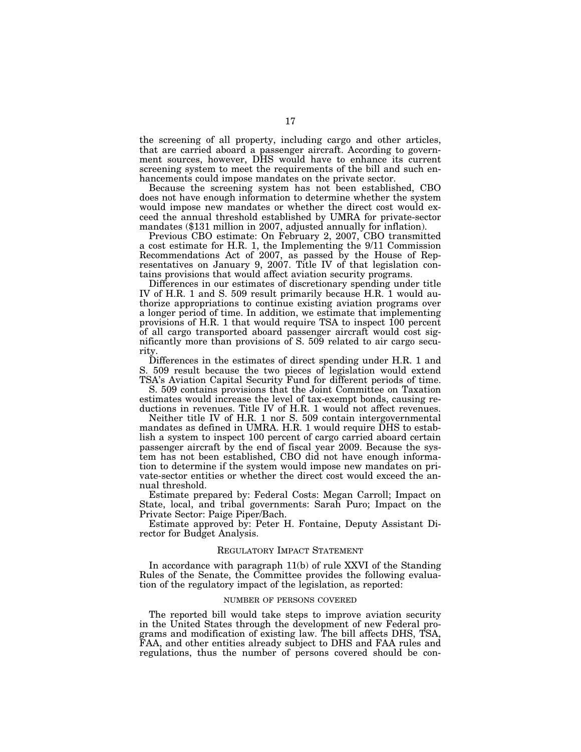the screening of all property, including cargo and other articles, that are carried aboard a passenger aircraft. According to government sources, however, DHS would have to enhance its current screening system to meet the requirements of the bill and such enhancements could impose mandates on the private sector.

Because the screening system has not been established, CBO does not have enough information to determine whether the system would impose new mandates or whether the direct cost would exceed the annual threshold established by UMRA for private-sector mandates (\$131 million in 2007, adjusted annually for inflation).

Previous CBO estimate: On February 2, 2007, CBO transmitted a cost estimate for H.R. 1, the Implementing the 9/11 Commission Recommendations Act of 2007, as passed by the House of Representatives on January 9, 2007. Title IV of that legislation contains provisions that would affect aviation security programs.

Differences in our estimates of discretionary spending under title IV of H.R. 1 and S. 509 result primarily because H.R. 1 would authorize appropriations to continue existing aviation programs over a longer period of time. In addition, we estimate that implementing provisions of H.R. 1 that would require TSA to inspect 100 percent of all cargo transported aboard passenger aircraft would cost significantly more than provisions of S. 509 related to air cargo security.

Differences in the estimates of direct spending under H.R. 1 and S. 509 result because the two pieces of legislation would extend TSA's Aviation Capital Security Fund for different periods of time.

S. 509 contains provisions that the Joint Committee on Taxation estimates would increase the level of tax-exempt bonds, causing reductions in revenues. Title IV of H.R. 1 would not affect revenues.

Neither title IV of H.R. 1 nor S. 509 contain intergovernmental mandates as defined in UMRA. H.R. 1 would require DHS to establish a system to inspect 100 percent of cargo carried aboard certain passenger aircraft by the end of fiscal year 2009. Because the system has not been established, CBO did not have enough information to determine if the system would impose new mandates on private-sector entities or whether the direct cost would exceed the annual threshold.

Estimate prepared by: Federal Costs: Megan Carroll; Impact on State, local, and tribal governments: Sarah Puro; Impact on the Private Sector: Paige Piper/Bach.

Estimate approved by: Peter H. Fontaine, Deputy Assistant Director for Budget Analysis.

#### REGULATORY IMPACT STATEMENT

In accordance with paragraph 11(b) of rule XXVI of the Standing Rules of the Senate, the Committee provides the following evaluation of the regulatory impact of the legislation, as reported:

## NUMBER OF PERSONS COVERED

The reported bill would take steps to improve aviation security in the United States through the development of new Federal programs and modification of existing law. The bill affects DHS, TSA, FAA, and other entities already subject to DHS and FAA rules and regulations, thus the number of persons covered should be con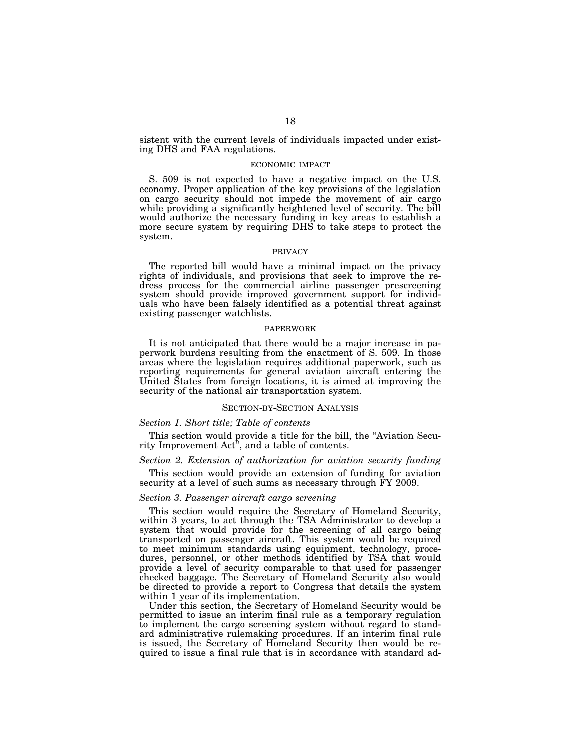sistent with the current levels of individuals impacted under existing DHS and FAA regulations.

#### ECONOMIC IMPACT

S. 509 is not expected to have a negative impact on the U.S. economy. Proper application of the key provisions of the legislation on cargo security should not impede the movement of air cargo while providing a significantly heightened level of security. The bill would authorize the necessary funding in key areas to establish a more secure system by requiring DHS to take steps to protect the system.

## PRIVACY

The reported bill would have a minimal impact on the privacy rights of individuals, and provisions that seek to improve the redress process for the commercial airline passenger prescreening system should provide improved government support for individuals who have been falsely identified as a potential threat against existing passenger watchlists.

#### PAPERWORK

It is not anticipated that there would be a major increase in paperwork burdens resulting from the enactment of S. 509. In those areas where the legislation requires additional paperwork, such as reporting requirements for general aviation aircraft entering the United States from foreign locations, it is aimed at improving the security of the national air transportation system.

#### SECTION-BY-SECTION ANALYSIS

## *Section 1. Short title; Table of contents*

This section would provide a title for the bill, the ''Aviation Security Improvement Act'', and a table of contents.

## *Section 2. Extension of authorization for aviation security funding*

This section would provide an extension of funding for aviation security at a level of such sums as necessary through FY 2009.

#### *Section 3. Passenger aircraft cargo screening*

This section would require the Secretary of Homeland Security, within 3 years, to act through the TSA Administrator to develop a system that would provide for the screening of all cargo being transported on passenger aircraft. This system would be required to meet minimum standards using equipment, technology, procedures, personnel, or other methods identified by TSA that would provide a level of security comparable to that used for passenger checked baggage. The Secretary of Homeland Security also would be directed to provide a report to Congress that details the system within 1 year of its implementation.

Under this section, the Secretary of Homeland Security would be permitted to issue an interim final rule as a temporary regulation to implement the cargo screening system without regard to standard administrative rulemaking procedures. If an interim final rule is issued, the Secretary of Homeland Security then would be required to issue a final rule that is in accordance with standard ad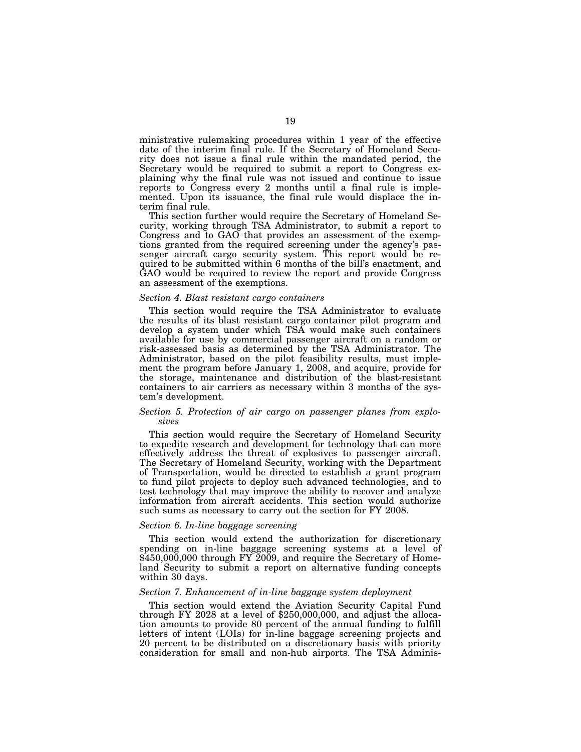ministrative rulemaking procedures within 1 year of the effective date of the interim final rule. If the Secretary of Homeland Security does not issue a final rule within the mandated period, the Secretary would be required to submit a report to Congress explaining why the final rule was not issued and continue to issue reports to Congress every 2 months until a final rule is implemented. Upon its issuance, the final rule would displace the interim final rule.

This section further would require the Secretary of Homeland Security, working through TSA Administrator, to submit a report to Congress and to GAO that provides an assessment of the exemptions granted from the required screening under the agency's passenger aircraft cargo security system. This report would be required to be submitted within 6 months of the bill's enactment, and GAO would be required to review the report and provide Congress an assessment of the exemptions.

#### *Section 4. Blast resistant cargo containers*

This section would require the TSA Administrator to evaluate the results of its blast resistant cargo container pilot program and develop a system under which TSA would make such containers available for use by commercial passenger aircraft on a random or risk-assessed basis as determined by the TSA Administrator. The Administrator, based on the pilot feasibility results, must implement the program before January 1, 2008, and acquire, provide for the storage, maintenance and distribution of the blast-resistant containers to air carriers as necessary within 3 months of the system's development.

## *Section 5. Protection of air cargo on passenger planes from explosives*

This section would require the Secretary of Homeland Security to expedite research and development for technology that can more effectively address the threat of explosives to passenger aircraft. The Secretary of Homeland Security, working with the Department of Transportation, would be directed to establish a grant program to fund pilot projects to deploy such advanced technologies, and to test technology that may improve the ability to recover and analyze information from aircraft accidents. This section would authorize such sums as necessary to carry out the section for FY 2008.

## *Section 6. In-line baggage screening*

This section would extend the authorization for discretionary spending on in-line baggage screening systems at a level of \$450,000,000 through FY 2009, and require the Secretary of Homeland Security to submit a report on alternative funding concepts within 30 days.

#### *Section 7. Enhancement of in-line baggage system deployment*

This section would extend the Aviation Security Capital Fund through FY 2028 at a level of \$250,000,000, and adjust the allocation amounts to provide 80 percent of the annual funding to fulfill letters of intent (LOIs) for in-line baggage screening projects and 20 percent to be distributed on a discretionary basis with priority consideration for small and non-hub airports. The TSA Adminis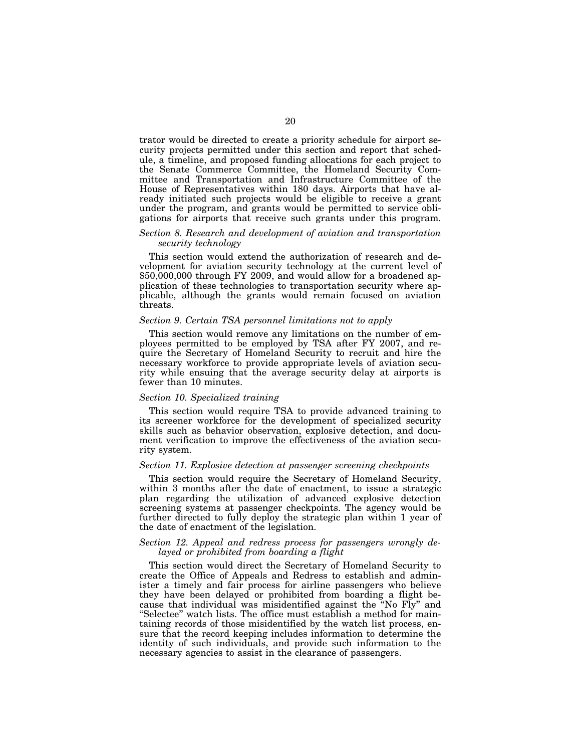trator would be directed to create a priority schedule for airport security projects permitted under this section and report that schedule, a timeline, and proposed funding allocations for each project to the Senate Commerce Committee, the Homeland Security Committee and Transportation and Infrastructure Committee of the House of Representatives within 180 days. Airports that have already initiated such projects would be eligible to receive a grant under the program, and grants would be permitted to service obligations for airports that receive such grants under this program.

## *Section 8. Research and development of aviation and transportation security technology*

This section would extend the authorization of research and development for aviation security technology at the current level of \$50,000,000 through FY 2009, and would allow for a broadened application of these technologies to transportation security where applicable, although the grants would remain focused on aviation threats.

#### *Section 9. Certain TSA personnel limitations not to apply*

This section would remove any limitations on the number of employees permitted to be employed by TSA after FY 2007, and require the Secretary of Homeland Security to recruit and hire the necessary workforce to provide appropriate levels of aviation security while ensuing that the average security delay at airports is fewer than 10 minutes.

#### *Section 10. Specialized training*

This section would require TSA to provide advanced training to its screener workforce for the development of specialized security skills such as behavior observation, explosive detection, and document verification to improve the effectiveness of the aviation security system.

#### *Section 11. Explosive detection at passenger screening checkpoints*

This section would require the Secretary of Homeland Security, within 3 months after the date of enactment, to issue a strategic plan regarding the utilization of advanced explosive detection screening systems at passenger checkpoints. The agency would be further directed to fully deploy the strategic plan within 1 year of the date of enactment of the legislation.

## *Section 12. Appeal and redress process for passengers wrongly delayed or prohibited from boarding a flight*

This section would direct the Secretary of Homeland Security to create the Office of Appeals and Redress to establish and administer a timely and fair process for airline passengers who believe they have been delayed or prohibited from boarding a flight because that individual was misidentified against the ''No Fly'' and ''Selectee'' watch lists. The office must establish a method for maintaining records of those misidentified by the watch list process, ensure that the record keeping includes information to determine the identity of such individuals, and provide such information to the necessary agencies to assist in the clearance of passengers.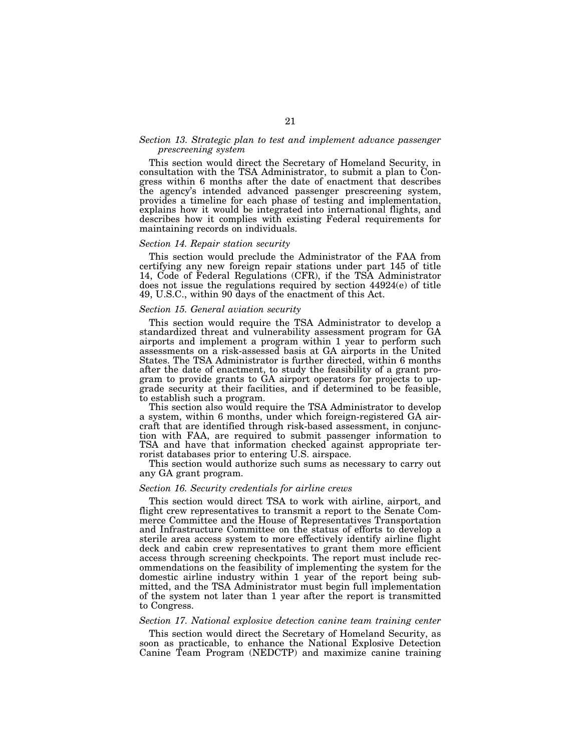## *Section 13. Strategic plan to test and implement advance passenger prescreening system*

This section would direct the Secretary of Homeland Security, in consultation with the TSA Administrator, to submit a plan to Congress within 6 months after the date of enactment that describes the agency's intended advanced passenger prescreening system, provides a timeline for each phase of testing and implementation, explains how it would be integrated into international flights, and describes how it complies with existing Federal requirements for maintaining records on individuals.

#### *Section 14. Repair station security*

This section would preclude the Administrator of the FAA from certifying any new foreign repair stations under part 145 of title 14, Code of Federal Regulations (CFR), if the TSA Administrator does not issue the regulations required by section 44924(e) of title 49, U.S.C., within 90 days of the enactment of this Act.

#### *Section 15. General aviation security*

This section would require the TSA Administrator to develop a standardized threat and vulnerability assessment program for GA airports and implement a program within 1 year to perform such assessments on a risk-assessed basis at GA airports in the United States. The TSA Administrator is further directed, within 6 months after the date of enactment, to study the feasibility of a grant program to provide grants to GA airport operators for projects to upgrade security at their facilities, and if determined to be feasible, to establish such a program.

This section also would require the TSA Administrator to develop a system, within 6 months, under which foreign-registered GA aircraft that are identified through risk-based assessment, in conjunction with FAA, are required to submit passenger information to TSA and have that information checked against appropriate terrorist databases prior to entering U.S. airspace.

This section would authorize such sums as necessary to carry out any GA grant program.

#### *Section 16. Security credentials for airline crews*

This section would direct TSA to work with airline, airport, and flight crew representatives to transmit a report to the Senate Commerce Committee and the House of Representatives Transportation and Infrastructure Committee on the status of efforts to develop a sterile area access system to more effectively identify airline flight deck and cabin crew representatives to grant them more efficient access through screening checkpoints. The report must include recommendations on the feasibility of implementing the system for the domestic airline industry within 1 year of the report being submitted, and the TSA Administrator must begin full implementation of the system not later than 1 year after the report is transmitted to Congress.

## *Section 17. National explosive detection canine team training center*

This section would direct the Secretary of Homeland Security, as soon as practicable, to enhance the National Explosive Detection Canine Team Program (NEDCTP) and maximize canine training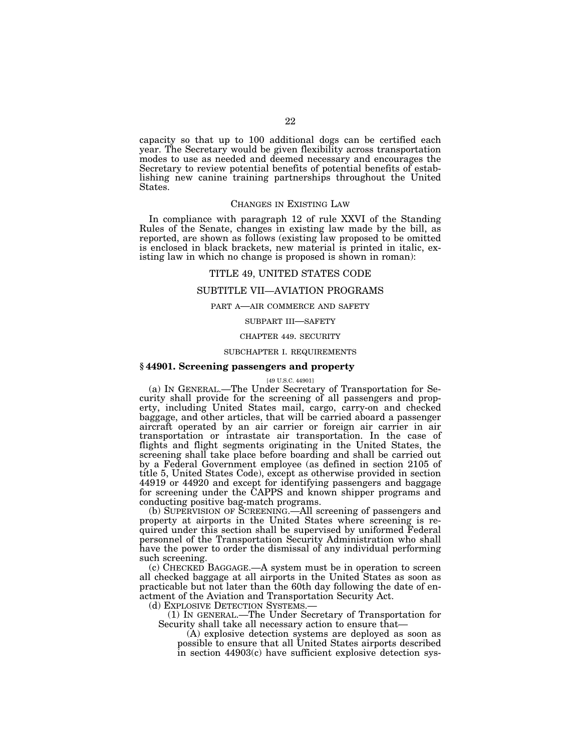capacity so that up to 100 additional dogs can be certified each year. The Secretary would be given flexibility across transportation modes to use as needed and deemed necessary and encourages the Secretary to review potential benefits of potential benefits of establishing new canine training partnerships throughout the United States.

## CHANGES IN EXISTING LAW

In compliance with paragraph 12 of rule XXVI of the Standing Rules of the Senate, changes in existing law made by the bill, as reported, are shown as follows (existing law proposed to be omitted is enclosed in black brackets, new material is printed in italic, existing law in which no change is proposed is shown in roman):

## TITLE 49, UNITED STATES CODE

## SUBTITLE VII—AVIATION PROGRAMS

## PART A—AIR COMMERCE AND SAFETY

## SUBPART III—SAFETY

#### CHAPTER 449. SECURITY

## SUBCHAPTER I. REQUIREMENTS

## **§ 44901. Screening passengers and property**

#### [49 U.S.C. 44901]

(a) IN GENERAL.—The Under Secretary of Transportation for Security shall provide for the screening of all passengers and property, including United States mail, cargo, carry-on and checked baggage, and other articles, that will be carried aboard a passenger aircraft operated by an air carrier or foreign air carrier in air transportation or intrastate air transportation. In the case of flights and flight segments originating in the United States, the screening shall take place before boarding and shall be carried out by a Federal Government employee (as defined in section 2105 of title 5, United States Code), except as otherwise provided in section 44919 or 44920 and except for identifying passengers and baggage for screening under the CAPPS and known shipper programs and conducting positive bag-match programs.

(b) SUPERVISION OF SCREENING.—All screening of passengers and property at airports in the United States where screening is required under this section shall be supervised by uniformed Federal personnel of the Transportation Security Administration who shall have the power to order the dismissal of any individual performing such screening.

(c) CHECKED BAGGAGE.—A system must be in operation to screen all checked baggage at all airports in the United States as soon as practicable but not later than the 60th day following the date of enactment of the Aviation and Transportation Security Act.

(d) EXPLOSIVE DETECTION SYSTEMS.—

(1) IN GENERAL.—The Under Secretary of Transportation for Security shall take all necessary action to ensure that—

(A) explosive detection systems are deployed as soon as possible to ensure that all United States airports described in section 44903(c) have sufficient explosive detection sys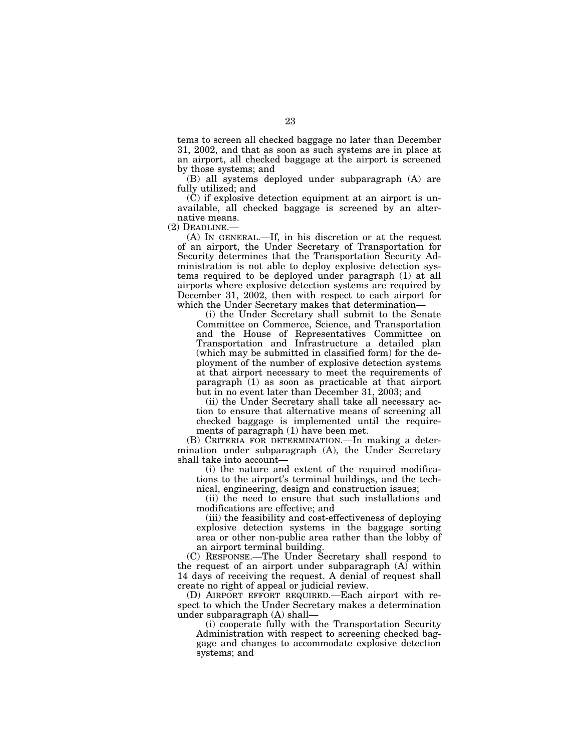tems to screen all checked baggage no later than December 31, 2002, and that as soon as such systems are in place at an airport, all checked baggage at the airport is screened by those systems; and

(B) all systems deployed under subparagraph (A) are fully utilized; and

(C) if explosive detection equipment at an airport is unavailable, all checked baggage is screened by an alternative means.

(2) DEADLINE.—

(A) IN GENERAL.—If, in his discretion or at the request of an airport, the Under Secretary of Transportation for Security determines that the Transportation Security Administration is not able to deploy explosive detection systems required to be deployed under paragraph (1) at all airports where explosive detection systems are required by December 31, 2002, then with respect to each airport for which the Under Secretary makes that determination—

(i) the Under Secretary shall submit to the Senate Committee on Commerce, Science, and Transportation and the House of Representatives Committee on Transportation and Infrastructure a detailed plan (which may be submitted in classified form) for the deployment of the number of explosive detection systems at that airport necessary to meet the requirements of paragraph (1) as soon as practicable at that airport but in no event later than December 31, 2003; and

(ii) the Under Secretary shall take all necessary action to ensure that alternative means of screening all checked baggage is implemented until the requirements of paragraph (1) have been met.

(B) CRITERIA FOR DETERMINATION.—In making a determination under subparagraph (A), the Under Secretary shall take into account—

(i) the nature and extent of the required modifications to the airport's terminal buildings, and the technical, engineering, design and construction issues;

(ii) the need to ensure that such installations and modifications are effective; and

(iii) the feasibility and cost-effectiveness of deploying explosive detection systems in the baggage sorting area or other non-public area rather than the lobby of an airport terminal building.

(C) RESPONSE.—The Under Secretary shall respond to the request of an airport under subparagraph (A) within 14 days of receiving the request. A denial of request shall create no right of appeal or judicial review.

(D) AIRPORT EFFORT REQUIRED.—Each airport with respect to which the Under Secretary makes a determination under subparagraph (A) shall—

(i) cooperate fully with the Transportation Security Administration with respect to screening checked baggage and changes to accommodate explosive detection systems; and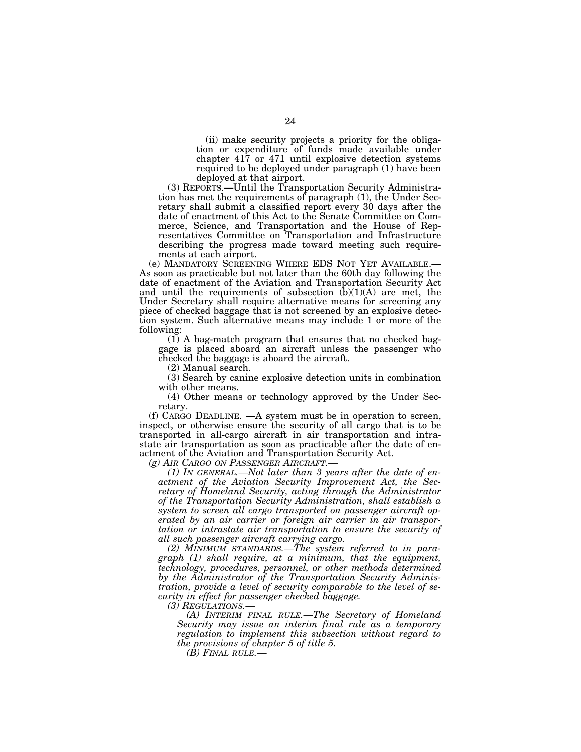(ii) make security projects a priority for the obligation or expenditure of funds made available under chapter 417 or 471 until explosive detection systems required to be deployed under paragraph (1) have been deployed at that airport.

(3) REPORTS.—Until the Transportation Security Administration has met the requirements of paragraph (1), the Under Secretary shall submit a classified report every 30 days after the date of enactment of this Act to the Senate Committee on Commerce, Science, and Transportation and the House of Representatives Committee on Transportation and Infrastructure describing the progress made toward meeting such requirements at each airport.

(e) MANDATORY SCREENING WHERE EDS NOT YET AVAILABLE.— As soon as practicable but not later than the 60th day following the date of enactment of the Aviation and Transportation Security Act and until the requirements of subsection  $(b)(1)(A)$  are met, the Under Secretary shall require alternative means for screening any piece of checked baggage that is not screened by an explosive detection system. Such alternative means may include 1 or more of the following:

(1) A bag-match program that ensures that no checked baggage is placed aboard an aircraft unless the passenger who checked the baggage is aboard the aircraft.

(2) Manual search.

(3) Search by canine explosive detection units in combination with other means.

(4) Other means or technology approved by the Under Secretary.

(f) CARGO DEADLINE. —A system must be in operation to screen, inspect, or otherwise ensure the security of all cargo that is to be transported in all-cargo aircraft in air transportation and intrastate air transportation as soon as practicable after the date of enactment of the Aviation and Transportation Security Act.<br>(g) AIR CARGO ON PASSENGER AIRCRAFT.—

*(1) In GENERAL.—Not later than 3 years after the date of enactment of the Aviation Security Improvement Act, the Secretary of Homeland Security, acting through the Administrator of the Transportation Security Administration, shall establish a system to screen all cargo transported on passenger aircraft operated by an air carrier or foreign air carrier in air transportation or intrastate air transportation to ensure the security of all such passenger aircraft carrying cargo.* 

*(2) MINIMUM STANDARDS.—The system referred to in paragraph (1) shall require, at a minimum, that the equipment, technology, procedures, personnel, or other methods determined by the Administrator of the Transportation Security Administration, provide a level of security comparable to the level of security in effect for passenger checked baggage.* 

*(3) REGULATIONS.— (A) INTERIM FINAL RULE.—The Secretary of Homeland Security may issue an interim final rule as a temporary regulation to implement this subsection without regard to the provisions of chapter 5 of title 5.* 

*(B) FINAL RULE.—*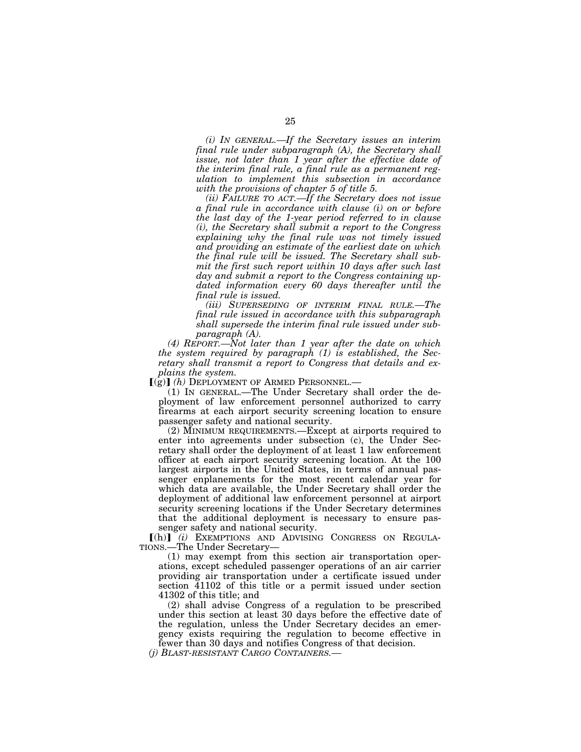*(i) IN GENERAL.—If the Secretary issues an interim final rule under subparagraph (A), the Secretary shall issue, not later than 1 year after the effective date of the interim final rule, a final rule as a permanent regulation to implement this subsection in accordance with the provisions of chapter 5 of title 5.* 

*(ii) FAILURE TO ACT.—If the Secretary does not issue a final rule in accordance with clause (i) on or before the last day of the 1-year period referred to in clause (i), the Secretary shall submit a report to the Congress explaining why the final rule was not timely issued and providing an estimate of the earliest date on which the final rule will be issued. The Secretary shall submit the first such report within 10 days after such last day and submit a report to the Congress containing updated information every 60 days thereafter until the final rule is issued.* 

*(iii) SUPERSEDING OF INTERIM FINAL RULE.—The final rule issued in accordance with this subparagraph shall supersede the interim final rule issued under subparagraph (A).* 

*(4) REPORT.—Not later than 1 year after the date on which the system required by paragraph (1) is established, the Secretary shall transmit a report to Congress that details and explains the system.* 

 $\left[\left(\mathbf{g}\right)\right]$  (h) DEPLOYMENT OF ARMED PERSONNEL.—

(1) IN GENERAL.—The Under Secretary shall order the deployment of law enforcement personnel authorized to carry firearms at each airport security screening location to ensure passenger safety and national security.

(2) MINIMUM REQUIREMENTS.—Except at airports required to enter into agreements under subsection (c), the Under Secretary shall order the deployment of at least 1 law enforcement officer at each airport security screening location. At the 100 largest airports in the United States, in terms of annual passenger enplanements for the most recent calendar year for which data are available, the Under Secretary shall order the deployment of additional law enforcement personnel at airport security screening locations if the Under Secretary determines that the additional deployment is necessary to ensure passenger safety and national security.

[(h)] (i) EXEMPTIONS AND ADVISING CONGRESS ON REGULA-TIONS.—The Under Secretary—

(1) may exempt from this section air transportation operations, except scheduled passenger operations of an air carrier providing air transportation under a certificate issued under section 41102 of this title or a permit issued under section 41302 of this title; and

(2) shall advise Congress of a regulation to be prescribed under this section at least 30 days before the effective date of the regulation, unless the Under Secretary decides an emergency exists requiring the regulation to become effective in fewer than 30 days and notifies Congress of that decision.

*(j) BLAST-RESISTANT CARGO CONTAINERS.—*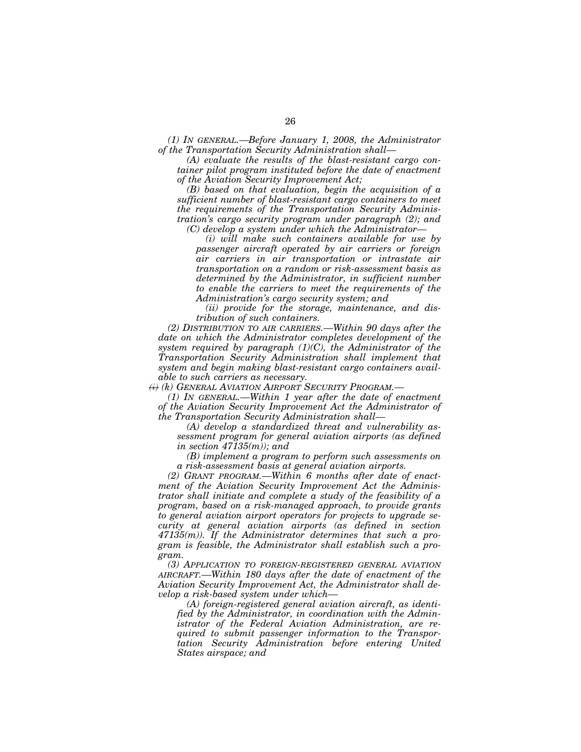*(1) IN GENERAL.—Before January 1, 2008, the Administrator of the Transportation Security Administration shall—*

*(A) evaluate the results of the blast-resistant cargo container pilot program instituted before the date of enactment of the Aviation Security Improvement Act;* 

*(B) based on that evaluation, begin the acquisition of a sufficient number of blast-resistant cargo containers to meet the requirements of the Transportation Security Administration's cargo security program under paragraph (2); and (C) develop a system under which the Administrator—*

*(i) will make such containers available for use by passenger aircraft operated by air carriers or foreign air carriers in air transportation or intrastate air transportation on a random or risk-assessment basis as determined by the Administrator, in sufficient number to enable the carriers to meet the requirements of the Administration's cargo security system; and* 

*(ii) provide for the storage, maintenance, and distribution of such containers.* 

*(2) DISTRIBUTION TO AIR CARRIERS.—Within 90 days after the date on which the Administrator completes development of the system required by paragraph (1)(C), the Administrator of the Transportation Security Administration shall implement that system and begin making blast-resistant cargo containers available to such carriers as necessary.* 

*(i) (k) GENERAL AVIATION AIRPORT SECURITY PROGRAM.—*

*(1) IN GENERAL.—Within 1 year after the date of enactment of the Aviation Security Improvement Act the Administrator of the Transportation Security Administration shall—*

*(A) develop a standardized threat and vulnerability assessment program for general aviation airports (as defined in section 47135(m)); and* 

*(B) implement a program to perform such assessments on a risk-assessment basis at general aviation airports.* 

*(2) GRANT PROGRAM.—Within 6 months after date of enactment of the Aviation Security Improvement Act the Administrator shall initiate and complete a study of the feasibility of a program, based on a risk-managed approach, to provide grants to general aviation airport operators for projects to upgrade security at general aviation airports (as defined in section 47135(m)). If the Administrator determines that such a program is feasible, the Administrator shall establish such a program.* 

*(3) APPLICATION TO FOREIGN-REGISTERED GENERAL AVIATION AIRCRAFT.—Within 180 days after the date of enactment of the Aviation Security Improvement Act, the Administrator shall develop a risk-based system under which—*

*(A) foreign-registered general aviation aircraft, as identified by the Administrator, in coordination with the Administrator of the Federal Aviation Administration, are required to submit passenger information to the Transportation Security Administration before entering United States airspace; and*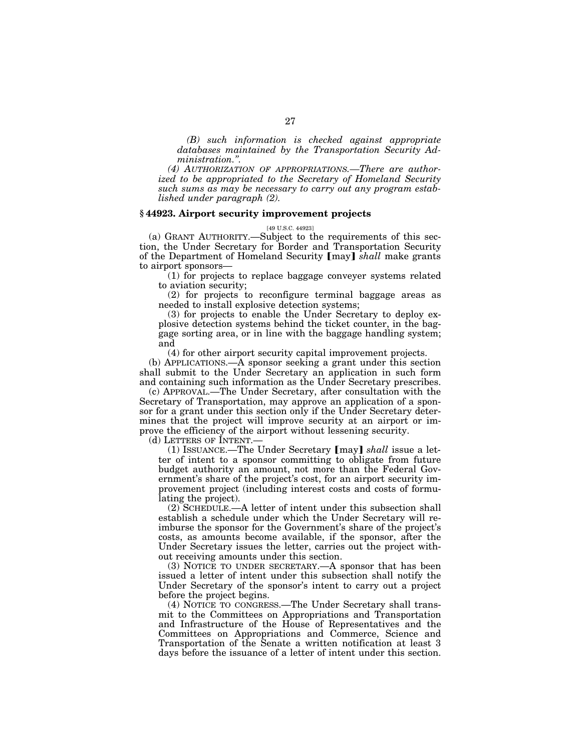*(B) such information is checked against appropriate databases maintained by the Transportation Security Administration.''.* 

*(4) AUTHORIZATION OF APPROPRIATIONS.—There are authorized to be appropriated to the Secretary of Homeland Security such sums as may be necessary to carry out any program established under paragraph (2).* 

## **§ 44923. Airport security improvement projects**

#### [49 U.S.C. 44923]

(a) GRANT AUTHORITY.—Subject to the requirements of this section, the Under Secretary for Border and Transportation Security of the Department of Homeland Security [may] *shall* make grants to airport sponsors—

(1) for projects to replace baggage conveyer systems related to aviation security;

(2) for projects to reconfigure terminal baggage areas as needed to install explosive detection systems;

(3) for projects to enable the Under Secretary to deploy explosive detection systems behind the ticket counter, in the baggage sorting area, or in line with the baggage handling system; and

(4) for other airport security capital improvement projects.

(b) APPLICATIONS.—A sponsor seeking a grant under this section shall submit to the Under Secretary an application in such form and containing such information as the Under Secretary prescribes.

(c) APPROVAL.—The Under Secretary, after consultation with the Secretary of Transportation, may approve an application of a sponsor for a grant under this section only if the Under Secretary determines that the project will improve security at an airport or improve the efficiency of the airport without lessening security.

(d) LETTERS OF INTENT.—

(1) ISSUANCE.—The Under Secretary [may] *shall* issue a letter of intent to a sponsor committing to obligate from future budget authority an amount, not more than the Federal Government's share of the project's cost, for an airport security improvement project (including interest costs and costs of formulating the project).

(2) SCHEDULE.—A letter of intent under this subsection shall establish a schedule under which the Under Secretary will reimburse the sponsor for the Government's share of the project's costs, as amounts become available, if the sponsor, after the Under Secretary issues the letter, carries out the project without receiving amounts under this section.

(3) NOTICE TO UNDER SECRETARY.—A sponsor that has been issued a letter of intent under this subsection shall notify the Under Secretary of the sponsor's intent to carry out a project before the project begins.

(4) NOTICE TO CONGRESS.—The Under Secretary shall transmit to the Committees on Appropriations and Transportation and Infrastructure of the House of Representatives and the Committees on Appropriations and Commerce, Science and Transportation of the Senate a written notification at least 3 days before the issuance of a letter of intent under this section.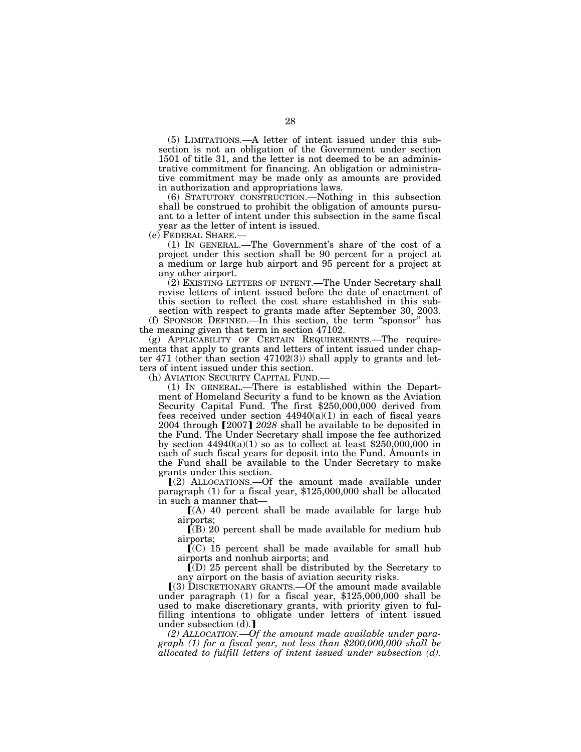(5) LIMITATIONS.—A letter of intent issued under this subsection is not an obligation of the Government under section 1501 of title 31, and the letter is not deemed to be an administrative commitment for financing. An obligation or administrative commitment may be made only as amounts are provided in authorization and appropriations laws.

(6) STATUTORY CONSTRUCTION.—Nothing in this subsection shall be construed to prohibit the obligation of amounts pursuant to a letter of intent under this subsection in the same fiscal year as the letter of intent is issued.<br>(e) FEDERAL SHARE.—

 $(1)$  In GENERAL.—The Government's share of the cost of a project under this section shall be 90 percent for a project at a medium or large hub airport and 95 percent for a project at any other airport.

(2) EXISTING LETTERS OF INTENT.—The Under Secretary shall revise letters of intent issued before the date of enactment of this section to reflect the cost share established in this subsection with respect to grants made after September 30, 2003.

(f) SPONSOR DEFINED.—In this section, the term ''sponsor'' has the meaning given that term in section 47102.

(g) APPLICABILITY OF CERTAIN REQUIREMENTS.—The requirements that apply to grants and letters of intent issued under chapter 471 (other than section 47102(3)) shall apply to grants and letters of intent issued under this section.<br>(h) AVIATION SECURITY CAPITAL FUND.—

(1) IN GENERAL.—There is established within the Department of Homeland Security a fund to be known as the Aviation Security Capital Fund. The first \$250,000,000 derived from fees received under section 44940(a)(1) in each of fiscal years 2004 through [2007] 2028 shall be available to be deposited in the Fund. The Under Secretary shall impose the fee authorized by section  $44940(a)(1)$  so as to collect at least \$250,000,000 in each of such fiscal years for deposit into the Fund. Amounts in the Fund shall be available to the Under Secretary to make grants under this section.

ø(2) ALLOCATIONS.—Of the amount made available under paragraph (1) for a fiscal year, \$125,000,000 shall be allocated

 $I(A)$  40 percent shall be made available for large hub airports;

 $\bar{I}(B)$  20 percent shall be made available for medium hub airports;

 $\Gamma$ (C) 15 percent shall be made available for small hub airports and nonhub airports; and

 $\mathbb{I}(\mathbb{D})$  25 percent shall be distributed by the Secretary to any airport on the basis of aviation security risks.

 $(3)$  DISCRETIONARY GRANTS.—Of the amount made available under paragraph (1) for a fiscal year, \$125,000,000 shall be used to make discretionary grants, with priority given to fulfilling intentions to obligate under letters of intent issued under subsection  $(d)$ .

*(2) ALLOCATION.—Of the amount made available under paragraph (1) for a fiscal year, not less than \$200,000,000 shall be allocated to fulfill letters of intent issued under subsection (d).*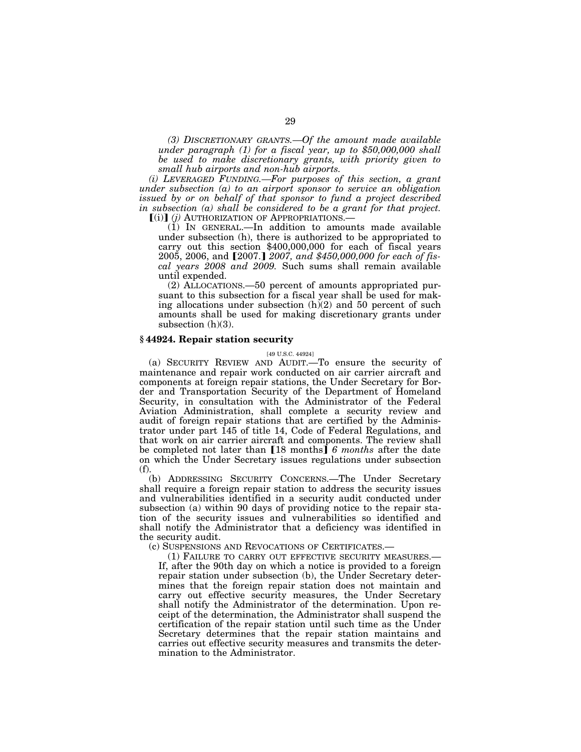*(3) DISCRETIONARY GRANTS.—Of the amount made available under paragraph (1) for a fiscal year, up to \$50,000,000 shall be used to make discretionary grants, with priority given to small hub airports and non-hub airports.* 

*(i) LEVERAGED FUNDING.—For purposes of this section, a grant under subsection (a) to an airport sponsor to service an obligation*  issued by or on behalf of that sponsor to fund a project described *in subsection (a) shall be considered to be a grant for that project.*  **[(i)]** *(i)* AUTHORIZATION OF APPROPRIATIONS.

(1) IN GENERAL.—In addition to amounts made available under subsection (h), there is authorized to be appropriated to carry out this section \$400,000,000 for each of fiscal years 2005, 2006, and [2007.] 2007, and \$450,000,000 for each of fis*cal years 2008 and 2009.* Such sums shall remain available until expended.

(2) ALLOCATIONS.—50 percent of amounts appropriated pursuant to this subsection for a fiscal year shall be used for making allocations under subsection  $(h)(2)$  and 50 percent of such amounts shall be used for making discretionary grants under subsection (h)(3).

## **§ 44924. Repair station security**

#### [49 U.S.C. 44924]

(a) SECURITY REVIEW AND AUDIT.—To ensure the security of maintenance and repair work conducted on air carrier aircraft and components at foreign repair stations, the Under Secretary for Border and Transportation Security of the Department of Homeland Security, in consultation with the Administrator of the Federal Aviation Administration, shall complete a security review and audit of foreign repair stations that are certified by the Administrator under part 145 of title 14, Code of Federal Regulations, and that work on air carrier aircraft and components. The review shall be completed not later than [18 months] 6 months after the date on which the Under Secretary issues regulations under subsection (f).

(b) ADDRESSING SECURITY CONCERNS.—The Under Secretary shall require a foreign repair station to address the security issues and vulnerabilities identified in a security audit conducted under subsection (a) within 90 days of providing notice to the repair station of the security issues and vulnerabilities so identified and shall notify the Administrator that a deficiency was identified in the security audit.

(c) SUSPENSIONS AND REVOCATIONS OF CERTIFICATES.—

(1) FAILURE TO CARRY OUT EFFECTIVE SECURITY MEASURES.— If, after the 90th day on which a notice is provided to a foreign repair station under subsection (b), the Under Secretary determines that the foreign repair station does not maintain and carry out effective security measures, the Under Secretary shall notify the Administrator of the determination. Upon receipt of the determination, the Administrator shall suspend the certification of the repair station until such time as the Under Secretary determines that the repair station maintains and carries out effective security measures and transmits the determination to the Administrator.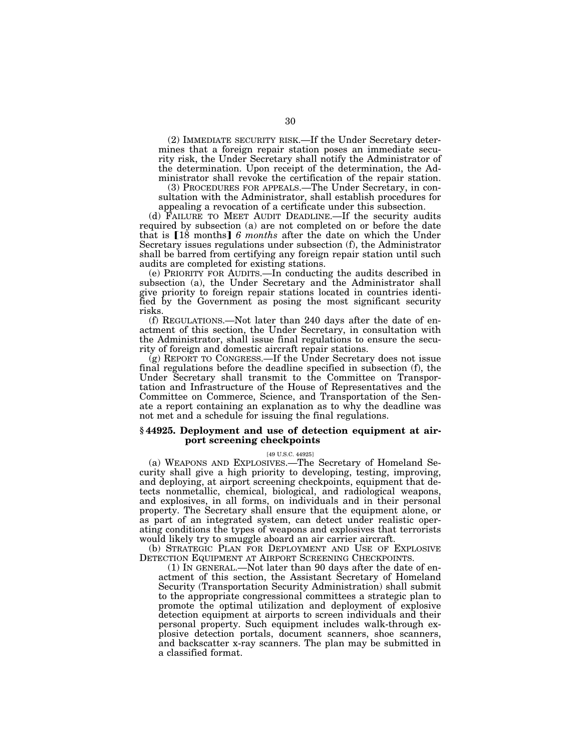(2) IMMEDIATE SECURITY RISK.—If the Under Secretary determines that a foreign repair station poses an immediate security risk, the Under Secretary shall notify the Administrator of the determination. Upon receipt of the determination, the Administrator shall revoke the certification of the repair station.

(3) PROCEDURES FOR APPEALS.—The Under Secretary, in consultation with the Administrator, shall establish procedures for appealing a revocation of a certificate under this subsection.

(d) FAILURE TO MEET AUDIT DEADLINE.—If the security audits required by subsection (a) are not completed on or before the date that is [18 months] 6 months after the date on which the Under Secretary issues regulations under subsection (f), the Administrator shall be barred from certifying any foreign repair station until such audits are completed for existing stations.

(e) PRIORITY FOR AUDITS.—In conducting the audits described in subsection (a), the Under Secretary and the Administrator shall give priority to foreign repair stations located in countries identified by the Government as posing the most significant security risks.

(f) REGULATIONS.—Not later than 240 days after the date of enactment of this section, the Under Secretary, in consultation with the Administrator, shall issue final regulations to ensure the security of foreign and domestic aircraft repair stations.

(g) REPORT TO CONGRESS.—If the Under Secretary does not issue final regulations before the deadline specified in subsection (f), the Under Secretary shall transmit to the Committee on Transportation and Infrastructure of the House of Representatives and the Committee on Commerce, Science, and Transportation of the Senate a report containing an explanation as to why the deadline was not met and a schedule for issuing the final regulations.

## **§ 44925. Deployment and use of detection equipment at airport screening checkpoints**

[49 U.S.C. 44925]

(a) WEAPONS AND EXPLOSIVES.—The Secretary of Homeland Security shall give a high priority to developing, testing, improving, and deploying, at airport screening checkpoints, equipment that detects nonmetallic, chemical, biological, and radiological weapons, and explosives, in all forms, on individuals and in their personal property. The Secretary shall ensure that the equipment alone, or as part of an integrated system, can detect under realistic operating conditions the types of weapons and explosives that terrorists would likely try to smuggle aboard an air carrier aircraft.

(b) STRATEGIC PLAN FOR DEPLOYMENT AND USE OF EXPLOSIVE DETECTION EQUIPMENT AT AIRPORT SCREENING CHECKPOINTS.

(1) IN GENERAL.—Not later than 90 days after the date of enactment of this section, the Assistant Secretary of Homeland Security (Transportation Security Administration) shall submit to the appropriate congressional committees a strategic plan to promote the optimal utilization and deployment of explosive detection equipment at airports to screen individuals and their personal property. Such equipment includes walk-through explosive detection portals, document scanners, shoe scanners, and backscatter x-ray scanners. The plan may be submitted in a classified format.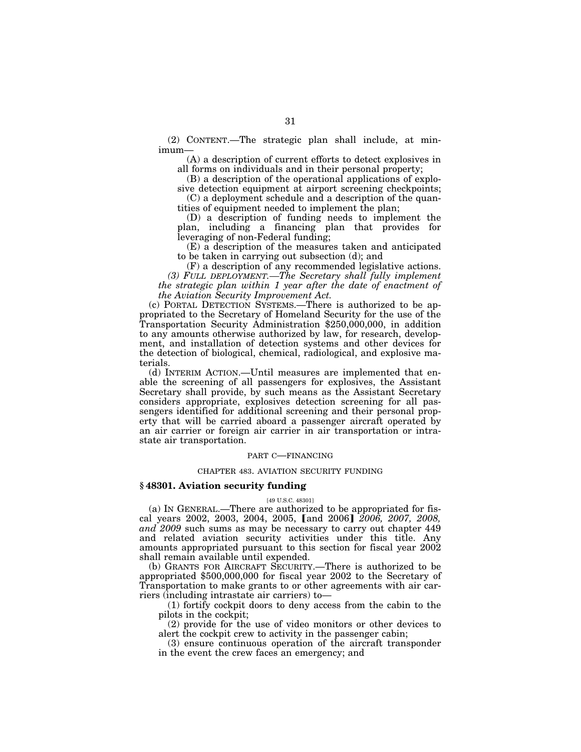(2) CONTENT.—The strategic plan shall include, at minimum—

(A) a description of current efforts to detect explosives in all forms on individuals and in their personal property;

(B) a description of the operational applications of explosive detection equipment at airport screening checkpoints;

(C) a deployment schedule and a description of the quantities of equipment needed to implement the plan;

(D) a description of funding needs to implement the plan, including a financing plan that provides for leveraging of non-Federal funding;

(E) a description of the measures taken and anticipated to be taken in carrying out subsection (d); and

(F) a description of any recommended legislative actions. *(3) FULL DEPLOYMENT.—The Secretary shall fully implement the strategic plan within 1 year after the date of enactment of the Aviation Security Improvement Act.* 

(c) PORTAL DETECTION SYSTEMS.—There is authorized to be appropriated to the Secretary of Homeland Security for the use of the Transportation Security Administration \$250,000,000, in addition to any amounts otherwise authorized by law, for research, development, and installation of detection systems and other devices for the detection of biological, chemical, radiological, and explosive materials.

(d) INTERIM ACTION.—Until measures are implemented that enable the screening of all passengers for explosives, the Assistant Secretary shall provide, by such means as the Assistant Secretary considers appropriate, explosives detection screening for all passengers identified for additional screening and their personal property that will be carried aboard a passenger aircraft operated by an air carrier or foreign air carrier in air transportation or intrastate air transportation.

#### PART C—FINANCING

#### CHAPTER 483. AVIATION SECURITY FUNDING

## **§ 48301. Aviation security funding**

#### [49 U.S.C. 48301]

(a) IN GENERAL.—There are authorized to be appropriated for fiscal years 2002, 2003, 2004, 2005, and 2006 *2006*, 2007, 2008, *and 2009* such sums as may be necessary to carry out chapter 449 and related aviation security activities under this title. Any amounts appropriated pursuant to this section for fiscal year 2002 shall remain available until expended.

(b) GRANTS FOR AIRCRAFT SECURITY.—There is authorized to be appropriated \$500,000,000 for fiscal year 2002 to the Secretary of Transportation to make grants to or other agreements with air carriers (including intrastate air carriers) to—

(1) fortify cockpit doors to deny access from the cabin to the pilots in the cockpit;

(2) provide for the use of video monitors or other devices to alert the cockpit crew to activity in the passenger cabin;

(3) ensure continuous operation of the aircraft transponder in the event the crew faces an emergency; and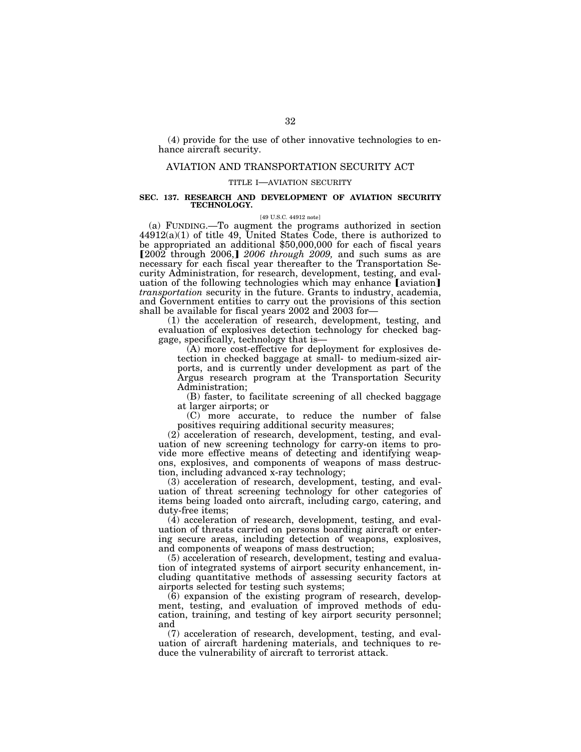(4) provide for the use of other innovative technologies to enhance aircraft security.

## AVIATION AND TRANSPORTATION SECURITY ACT

#### TITLE I—AVIATION SECURITY

#### **SEC. 137. RESEARCH AND DEVELOPMENT OF AVIATION SECURITY TECHNOLOGY.**

#### [49 U.S.C. 44912 note]

(a) FUNDING.—To augment the programs authorized in section 44912(a)(1) of title 49, United States Code, there is authorized to be appropriated an additional \$50,000,000 for each of fiscal years  $[200\overline{2}$  through 2006,  $[2006$  *through 2009*, and such sums as are necessary for each fiscal year thereafter to the Transportation Security Administration, for research, development, testing, and evaluation of the following technologies which may enhance [aviation] *transportation* security in the future. Grants to industry, academia, and Government entities to carry out the provisions of this section shall be available for fiscal years 2002 and 2003 for—

 $(1)$  the acceleration of research, development, testing, and evaluation of explosives detection technology for checked bag-<br>gage, specifically, technology that is—

 $(A)$  more cost-effective for deployment for explosives detection in checked baggage at small- to medium-sized airports, and is currently under development as part of the Argus research program at the Transportation Security Administration;

(B) faster, to facilitate screening of all checked baggage at larger airports; or

(C) more accurate, to reduce the number of false positives requiring additional security measures;

(2) acceleration of research, development, testing, and evaluation of new screening technology for carry-on items to provide more effective means of detecting and identifying weapons, explosives, and components of weapons of mass destruction, including advanced x-ray technology;

(3) acceleration of research, development, testing, and evaluation of threat screening technology for other categories of items being loaded onto aircraft, including cargo, catering, and duty-free items;

(4) acceleration of research, development, testing, and evaluation of threats carried on persons boarding aircraft or entering secure areas, including detection of weapons, explosives, and components of weapons of mass destruction;

(5) acceleration of research, development, testing and evaluation of integrated systems of airport security enhancement, including quantitative methods of assessing security factors at airports selected for testing such systems;

(6) expansion of the existing program of research, development, testing, and evaluation of improved methods of education, training, and testing of key airport security personnel; and

(7) acceleration of research, development, testing, and evaluation of aircraft hardening materials, and techniques to reduce the vulnerability of aircraft to terrorist attack.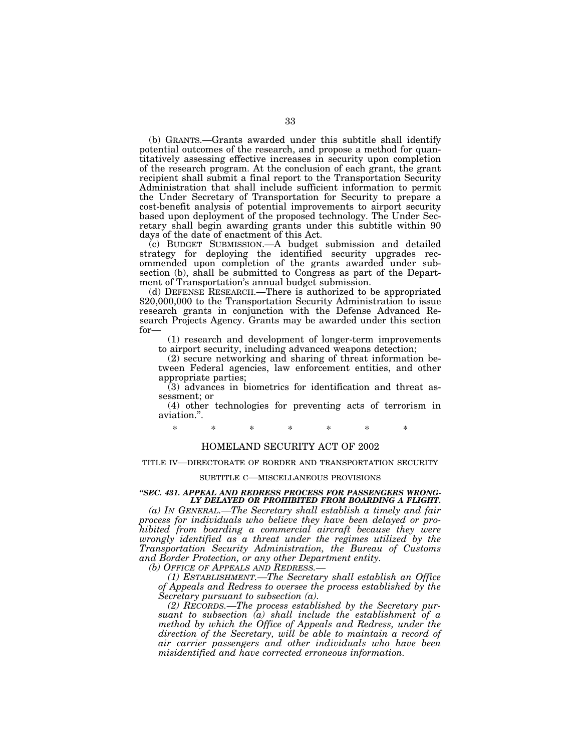(b) GRANTS.—Grants awarded under this subtitle shall identify potential outcomes of the research, and propose a method for quantitatively assessing effective increases in security upon completion of the research program. At the conclusion of each grant, the grant recipient shall submit a final report to the Transportation Security Administration that shall include sufficient information to permit the Under Secretary of Transportation for Security to prepare a cost-benefit analysis of potential improvements to airport security based upon deployment of the proposed technology. The Under Secretary shall begin awarding grants under this subtitle within 90 days of the date of enactment of this Act.

(c) BUDGET SUBMISSION.—A budget submission and detailed strategy for deploying the identified security upgrades recommended upon completion of the grants awarded under subsection (b), shall be submitted to Congress as part of the Depart-

ment of Transportation's annual budget submission.<br>(d) DEFENSE RESEARCH.—There is authorized to be appropriated (d) DEFENSE RESEARCH.—There is authorized to be appropriated \$20,000,000 to the Transportation Security Administration to issue research grants in conjunction with the Defense Advanced Research Projects Agency. Grants may be awarded under this section for— (1) research and development of longer-term improvements

to airport security, including advanced weapons detection;

(2) secure networking and sharing of threat information between Federal agencies, law enforcement entities, and other appropriate parties;

(3) advances in biometrics for identification and threat assessment; or

(4) other technologies for preventing acts of terrorism in aviation.''.

\* \* \* \* \* \* \*

## HOMELAND SECURITY ACT OF 2002

#### TITLE IV—DIRECTORATE OF BORDER AND TRANSPORTATION SECURITY

#### SUBTITLE C—MISCELLANEOUS PROVISIONS

#### *''SEC. 431. APPEAL AND REDRESS PROCESS FOR PASSENGERS WRONG-LY DELAYED OR PROHIBITED FROM BOARDING A FLIGHT.*

*(a) IN GENERAL.—The Secretary shall establish a timely and fair process for individuals who believe they have been delayed or prohibited from boarding a commercial aircraft because they were wrongly identified as a threat under the regimes utilized by the Transportation Security Administration, the Bureau of Customs and Border Protection, or any other Department entity.* 

*(b) OFFICE OF APPEALS AND REDRESS.—*

*(1) ESTABLISHMENT.—The Secretary shall establish an Office of Appeals and Redress to oversee the process established by the Secretary pursuant to subsection (a).* 

*(2) RECORDS.—The process established by the Secretary pursuant to subsection (a) shall include the establishment of a method by which the Office of Appeals and Redress, under the*  direction of the Secretary, will be able to maintain a record of *air carrier passengers and other individuals who have been misidentified and have corrected erroneous information.*